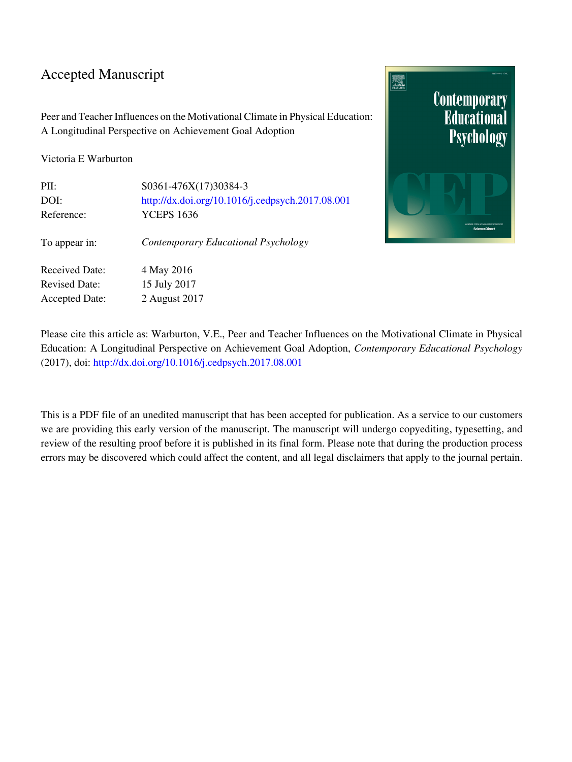### Accepted Manuscript

Peer and Teacher Influences on the Motivational Climate in Physical Education: A Longitudinal Perspective on Achievement Goal Adoption

Victoria E Warburton

| PII:                  | S0361-476X(17)30384-3                            |
|-----------------------|--------------------------------------------------|
| DOI:                  | http://dx.doi.org/10.1016/j.cedpsych.2017.08.001 |
| Reference:            | <b>YCEPS 1636</b>                                |
| To appear in:         | Contemporary Educational Psychology              |
| <b>Received Date:</b> | 4 May 2016                                       |
| <b>Revised Date:</b>  | 15 July 2017                                     |
| <b>Accepted Date:</b> | 2 August 2017                                    |



Please cite this article as: Warburton, V.E., Peer and Teacher Influences on the Motivational Climate in Physical Education: A Longitudinal Perspective on Achievement Goal Adoption, *Contemporary Educational Psychology* (2017), doi: [http://dx.doi.org/10.1016/j.cedpsych.2017.08.001](http://dx.doi.org/http://dx.doi.org/10.1016/j.cedpsych.2017.08.001)

This is a PDF file of an unedited manuscript that has been accepted for publication. As a service to our customers we are providing this early version of the manuscript. The manuscript will undergo copyediting, typesetting, and review of the resulting proof before it is published in its final form. Please note that during the production process errors may be discovered which could affect the content, and all legal disclaimers that apply to the journal pertain.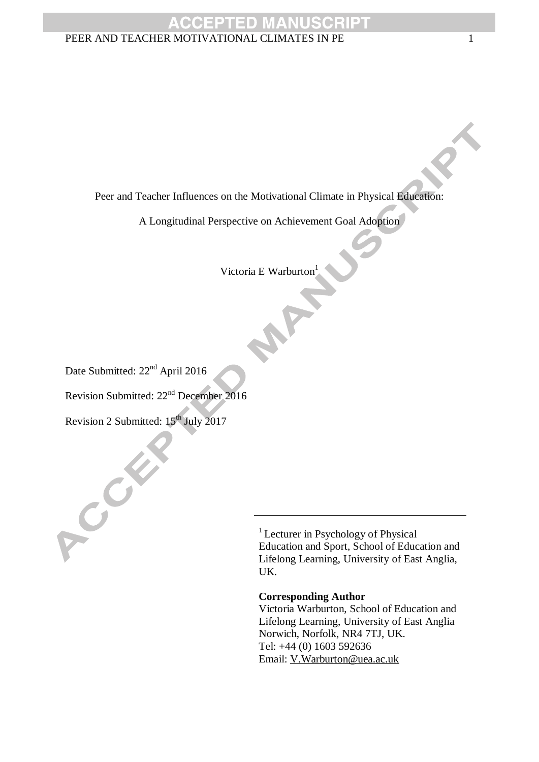Peer and Teacher Influences on the Motivational Climate in Physical Education:

A Longitudinal Perspective on Achievement Goal Adoption

Victoria E Warburton<sup>1</sup>

W

Date Submitted:  $22<sup>nd</sup>$  April 2016

Revision Submitted: 22nd December 2016

Revision 2 Submitted:  $15^{th}$  July 2017

COM

<sup>1</sup> Lecturer in Psychology of Physical Education and Sport, School of Education and Lifelong Learning, University of East Anglia, UK.

#### **Corresponding Author**

Victoria Warburton, School of Education and Lifelong Learning, University of East Anglia Norwich, Norfolk, NR4 7TJ, UK. Tel: +44 (0) 1603 592636 Email: [V.Warburton@uea.ac.uk](mailto:V.Warburton@uea.ac.uk)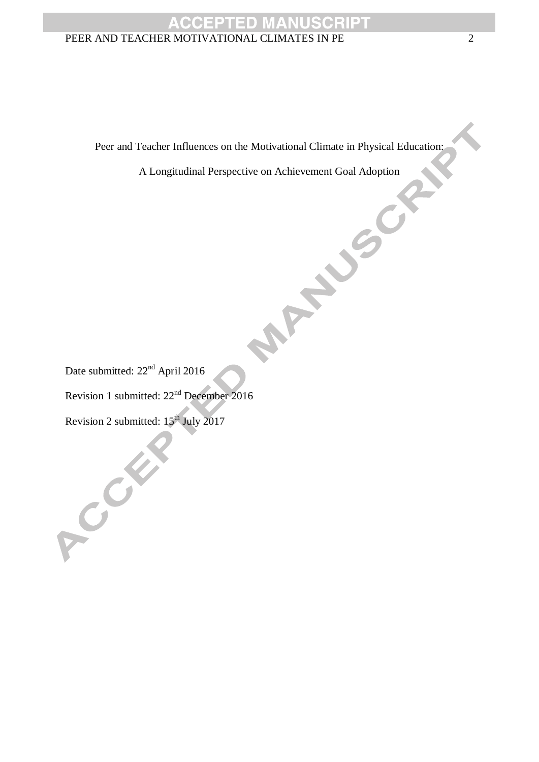Peer and Teacher Influences on the Motivational Climate in Physical Education:<br>A Longitudinal Perspective on Achievement Goal Adoption<br>White

A Longitudinal Perspective on Achievement Goal Adoption

Date submitted:  $22<sup>nd</sup>$  April 2016

Revision 1 submitted: 22nd December 2016

Revision 2 submitted:  $15^{th}$  July 2017

CORE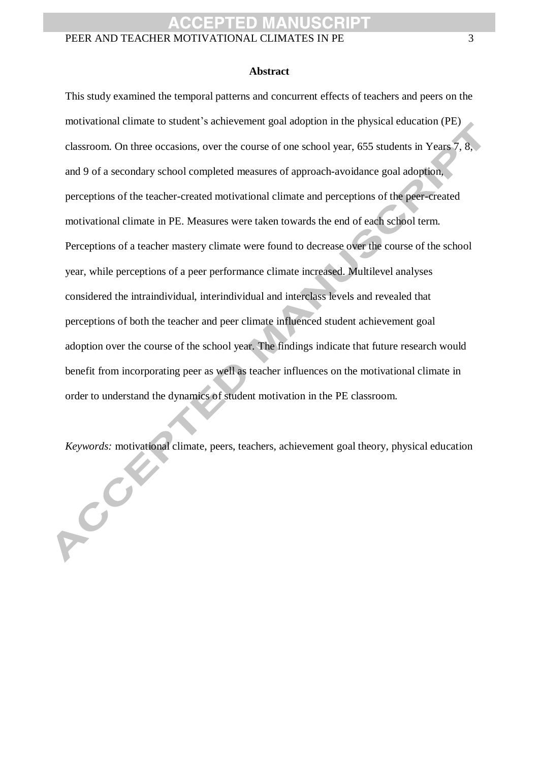#### **Abstract**

This study examined the temporal patterns and concurrent effects of teachers and peers on the motivational climate to student's achievement goal adoption in the physical education (PE) classroom. On three occasions, over the course of one school year, 655 students in Years 7, 8, and 9 of a secondary school completed measures of approach-avoidance goal adoption, perceptions of the teacher-created motivational climate and perceptions of the peer-created motivational climate in PE. Measures were taken towards the end of each school term. Perceptions of a teacher mastery climate were found to decrease over the course of the school year, while perceptions of a peer performance climate increased. Multilevel analyses considered the intraindividual, interindividual and interclass levels and revealed that perceptions of both the teacher and peer climate influenced student achievement goal adoption over the course of the school year. The findings indicate that future research would benefit from incorporating peer as well as teacher influences on the motivational climate in order to understand the dynamics of student motivation in the PE classroom.

*Keywords:* motivational climate, peers, teachers, achievement goal theory, physical education

 $\boldsymbol{c}^{\boldsymbol{c}}$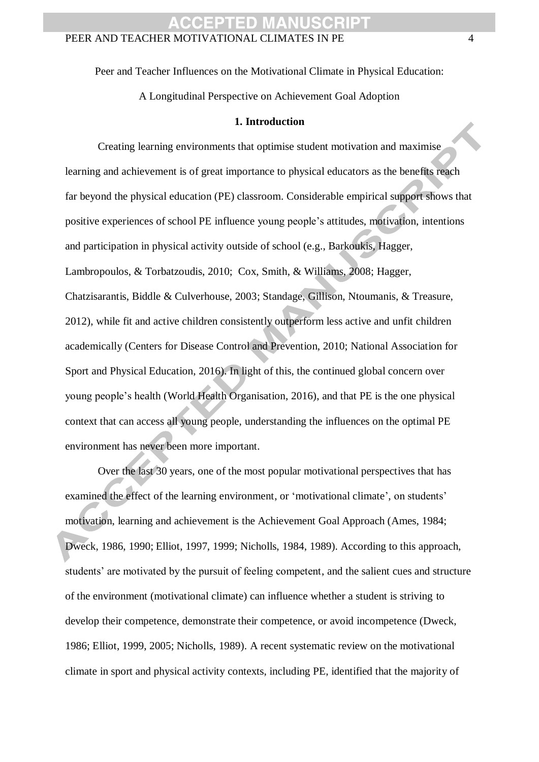Peer and Teacher Influences on the Motivational Climate in Physical Education:

A Longitudinal Perspective on Achievement Goal Adoption

#### **1. Introduction**

Creating learning environments that optimise student motivation and maximise learning and achievement is of great importance to physical educators as the benefits reach far beyond the physical education (PE) classroom. Considerable empirical support shows that positive experiences of school PE influence young people's attitudes, motivation, intentions and participation in physical activity outside of school (e.g., Barkoukis, Hagger, Lambropoulos, & Torbatzoudis, 2010; Cox, Smith, & Williams, 2008; Hagger, Chatzisarantis, Biddle & Culverhouse, 2003; Standage, Gillison, Ntoumanis, & Treasure, 2012), while fit and active children consistently outperform less active and unfit children academically (Centers for Disease Control and Prevention, 2010; National Association for Sport and Physical Education, 2016). In light of this, the continued global concern over young people's health (World Health Organisation, 2016), and that PE is the one physical context that can access all young people, understanding the influences on the optimal PE environment has never been more important.

Over the last 30 years, one of the most popular motivational perspectives that has examined the effect of the learning environment, or 'motivational climate', on students' motivation, learning and achievement is the Achievement Goal Approach (Ames, 1984; Dweck, 1986, 1990; Elliot, 1997, 1999; Nicholls, 1984, 1989). According to this approach, students' are motivated by the pursuit of feeling competent, and the salient cues and structure of the environment (motivational climate) can influence whether a student is striving to develop their competence, demonstrate their competence, or avoid incompetence (Dweck, 1986; Elliot, 1999, 2005; Nicholls, 1989). A recent systematic review on the motivational climate in sport and physical activity contexts, including PE, identified that the majority of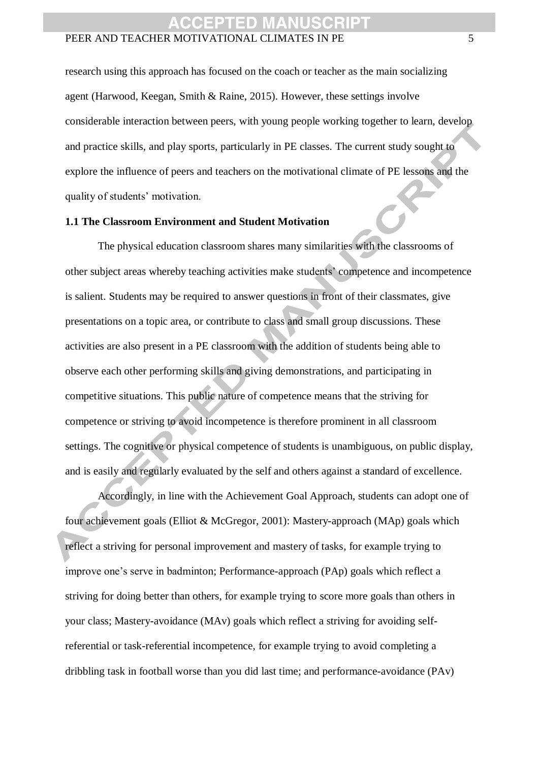research using this approach has focused on the coach or teacher as the main socializing agent (Harwood, Keegan, Smith & Raine, 2015). However, these settings involve considerable interaction between peers, with young people working together to learn, develop and practice skills, and play sports, particularly in PE classes. The current study sought to explore the influence of peers and teachers on the motivational climate of PE lessons and the quality of students' motivation.

#### **1.1 The Classroom Environment and Student Motivation**

The physical education classroom shares many similarities with the classrooms of other subject areas whereby teaching activities make students' competence and incompetence is salient. Students may be required to answer questions in front of their classmates, give presentations on a topic area, or contribute to class and small group discussions. These activities are also present in a PE classroom with the addition of students being able to observe each other performing skills and giving demonstrations, and participating in competitive situations. This public nature of competence means that the striving for competence or striving to avoid incompetence is therefore prominent in all classroom settings. The cognitive or physical competence of students is unambiguous, on public display, and is easily and regularly evaluated by the self and others against a standard of excellence.

Accordingly, in line with the Achievement Goal Approach, students can adopt one of four achievement goals (Elliot & McGregor, 2001): Mastery-approach (MAp) goals which reflect a striving for personal improvement and mastery of tasks, for example trying to improve one's serve in badminton; Performance-approach (PAp) goals which reflect a striving for doing better than others, for example trying to score more goals than others in your class; Mastery-avoidance (MAv) goals which reflect a striving for avoiding selfreferential or task-referential incompetence, for example trying to avoid completing a dribbling task in football worse than you did last time; and performance-avoidance (PAv)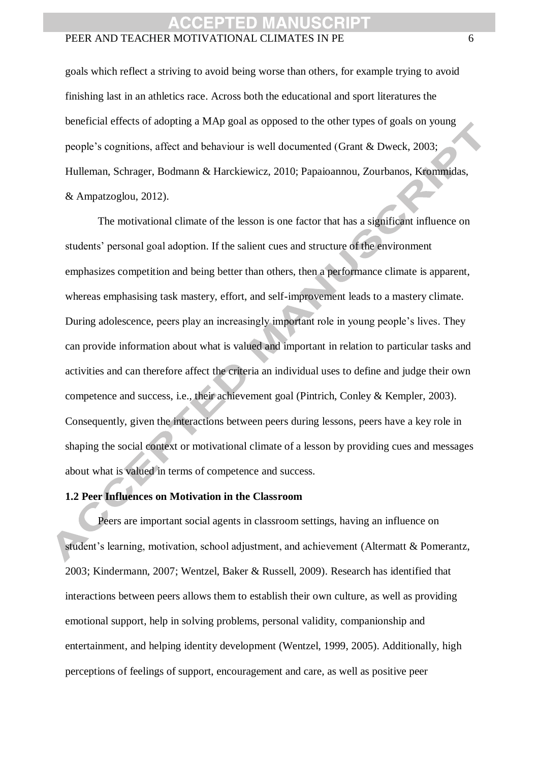goals which reflect a striving to avoid being worse than others, for example trying to avoid finishing last in an athletics race. Across both the educational and sport literatures the beneficial effects of adopting a MAp goal as opposed to the other types of goals on young people's cognitions, affect and behaviour is well documented (Grant & Dweck, 2003; Hulleman, Schrager, Bodmann & Harckiewicz, 2010; Papaioannou, Zourbanos, Krommidas, & Ampatzoglou, 2012).

The motivational climate of the lesson is one factor that has a significant influence on students' personal goal adoption. If the salient cues and structure of the environment emphasizes competition and being better than others, then a performance climate is apparent, whereas emphasising task mastery, effort, and self-improvement leads to a mastery climate. During adolescence, peers play an increasingly important role in young people's lives. They can provide information about what is valued and important in relation to particular tasks and activities and can therefore affect the criteria an individual uses to define and judge their own competence and success, i.e., their achievement goal (Pintrich, Conley & Kempler, 2003). Consequently, given the interactions between peers during lessons, peers have a key role in shaping the social context or motivational climate of a lesson by providing cues and messages about what is valued in terms of competence and success.

#### **1.2 Peer Influences on Motivation in the Classroom**

Peers are important social agents in classroom settings, having an influence on student's learning, motivation, school adjustment, and achievement (Altermatt & Pomerantz, 2003; Kindermann, 2007; Wentzel, Baker & Russell, 2009). Research has identified that interactions between peers allows them to establish their own culture, as well as providing emotional support, help in solving problems, personal validity, companionship and entertainment, and helping identity development (Wentzel, 1999, 2005). Additionally, high perceptions of feelings of support, encouragement and care, as well as positive peer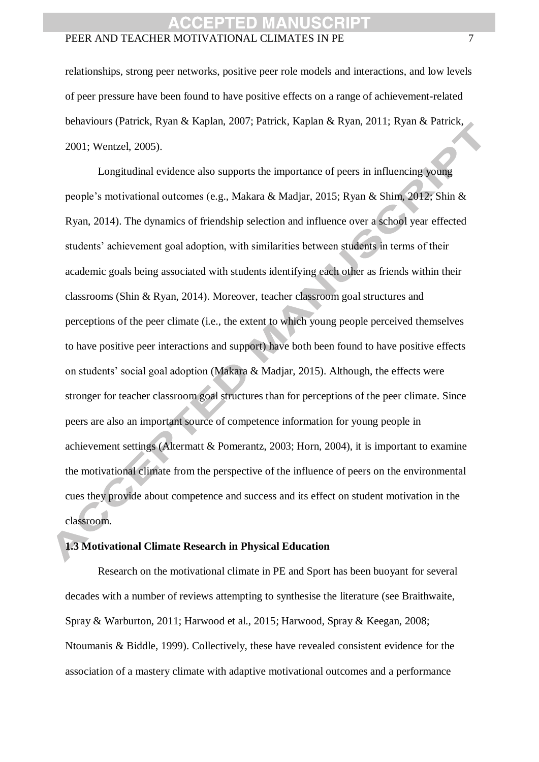relationships, strong peer networks, positive peer role models and interactions, and low levels of peer pressure have been found to have positive effects on a range of achievement-related behaviours (Patrick, Ryan & Kaplan, 2007; Patrick, Kaplan & Ryan, 2011; Ryan & Patrick, 2001; Wentzel, 2005).

Longitudinal evidence also supports the importance of peers in influencing young people's motivational outcomes (e.g., Makara & Madjar, 2015; Ryan & Shim, 2012; Shin & Ryan, 2014). The dynamics of friendship selection and influence over a school year effected students' achievement goal adoption, with similarities between students in terms of their academic goals being associated with students identifying each other as friends within their classrooms (Shin & Ryan, 2014). Moreover, teacher classroom goal structures and perceptions of the peer climate (i.e., the extent to which young people perceived themselves to have positive peer interactions and support) have both been found to have positive effects on students' social goal adoption (Makara & Madjar, 2015). Although, the effects were stronger for teacher classroom goal structures than for perceptions of the peer climate. Since peers are also an important source of competence information for young people in achievement settings (Altermatt & Pomerantz, 2003; Horn, 2004), it is important to examine the motivational climate from the perspective of the influence of peers on the environmental cues they provide about competence and success and its effect on student motivation in the classroom.

#### **1.3 Motivational Climate Research in Physical Education**

Research on the motivational climate in PE and Sport has been buoyant for several decades with a number of reviews attempting to synthesise the literature (see Braithwaite, Spray & Warburton, 2011; Harwood et al., 2015; Harwood, Spray & Keegan, 2008; Ntoumanis & Biddle, 1999). Collectively, these have revealed consistent evidence for the association of a mastery climate with adaptive motivational outcomes and a performance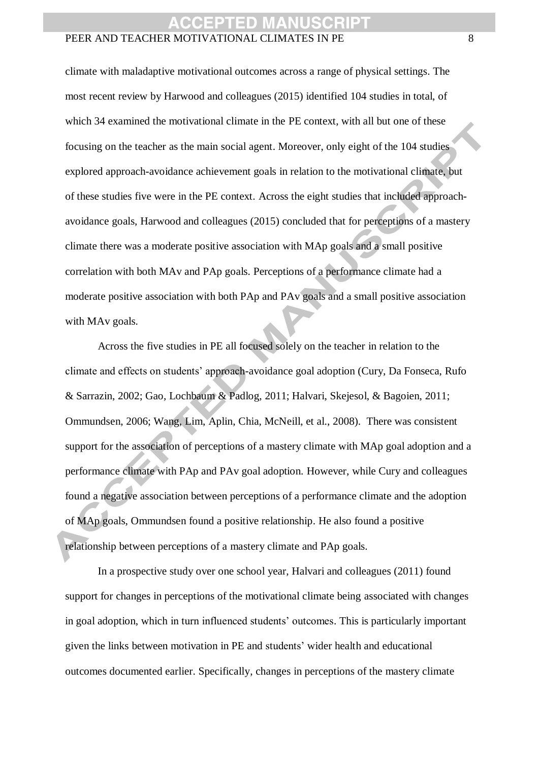climate with maladaptive motivational outcomes across a range of physical settings. The most recent review by Harwood and colleagues (2015) identified 104 studies in total, of which 34 examined the motivational climate in the PE context, with all but one of these focusing on the teacher as the main social agent. Moreover, only eight of the 104 studies explored approach-avoidance achievement goals in relation to the motivational climate, but of these studies five were in the PE context. Across the eight studies that included approachavoidance goals, Harwood and colleagues (2015) concluded that for perceptions of a mastery climate there was a moderate positive association with MAp goals and a small positive correlation with both MAv and PAp goals. Perceptions of a performance climate had a moderate positive association with both PAp and PAv goals and a small positive association with MAv goals.

Across the five studies in PE all focused solely on the teacher in relation to the climate and effects on students' approach-avoidance goal adoption (Cury, Da Fonseca, Rufo & Sarrazin, 2002; Gao, Lochbaum & Padlog, 2011; Halvari, Skejesol, & Bagoien, 2011; Ommundsen, 2006; Wang, Lim, Aplin, Chia, McNeill, et al., 2008). There was consistent support for the association of perceptions of a mastery climate with MAp goal adoption and a performance climate with PAp and PAv goal adoption. However, while Cury and colleagues found a negative association between perceptions of a performance climate and the adoption of MAp goals, Ommundsen found a positive relationship. He also found a positive relationship between perceptions of a mastery climate and PAp goals.

In a prospective study over one school year, Halvari and colleagues (2011) found support for changes in perceptions of the motivational climate being associated with changes in goal adoption, which in turn influenced students' outcomes. This is particularly important given the links between motivation in PE and students' wider health and educational outcomes documented earlier. Specifically, changes in perceptions of the mastery climate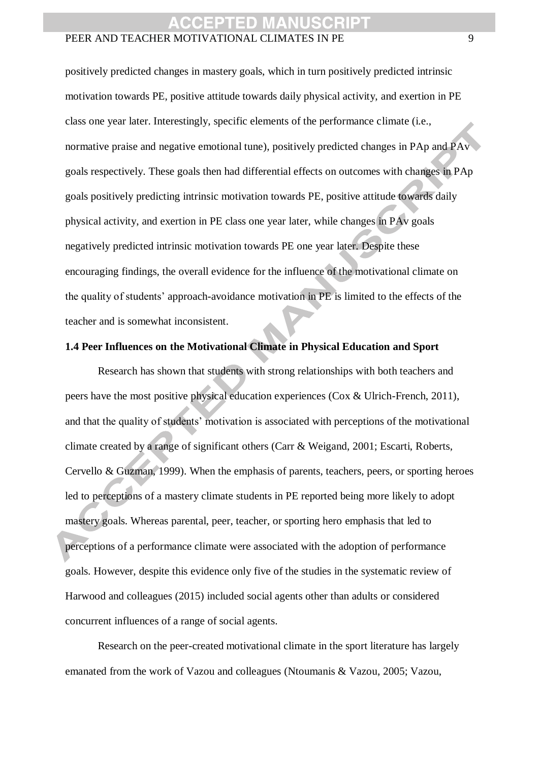positively predicted changes in mastery goals, which in turn positively predicted intrinsic motivation towards PE, positive attitude towards daily physical activity, and exertion in PE class one year later. Interestingly, specific elements of the performance climate (i.e., normative praise and negative emotional tune), positively predicted changes in PAp and PAv goals respectively. These goals then had differential effects on outcomes with changes in PAp goals positively predicting intrinsic motivation towards PE, positive attitude towards daily physical activity, and exertion in PE class one year later, while changes in PAv goals negatively predicted intrinsic motivation towards PE one year later. Despite these encouraging findings, the overall evidence for the influence of the motivational climate on the quality of students' approach-avoidance motivation in PE is limited to the effects of the teacher and is somewhat inconsistent.

#### **1.4 Peer Influences on the Motivational Climate in Physical Education and Sport**

Research has shown that students with strong relationships with both teachers and peers have the most positive physical education experiences (Cox & Ulrich-French, 2011), and that the quality of students' motivation is associated with perceptions of the motivational climate created by a range of significant others (Carr & Weigand, 2001; Escarti, Roberts, Cervello & Guzman, 1999). When the emphasis of parents, teachers, peers, or sporting heroes led to perceptions of a mastery climate students in PE reported being more likely to adopt mastery goals. Whereas parental, peer, teacher, or sporting hero emphasis that led to perceptions of a performance climate were associated with the adoption of performance goals. However, despite this evidence only five of the studies in the systematic review of Harwood and colleagues (2015) included social agents other than adults or considered concurrent influences of a range of social agents.

Research on the peer-created motivational climate in the sport literature has largely emanated from the work of Vazou and colleagues (Ntoumanis & Vazou, 2005; Vazou,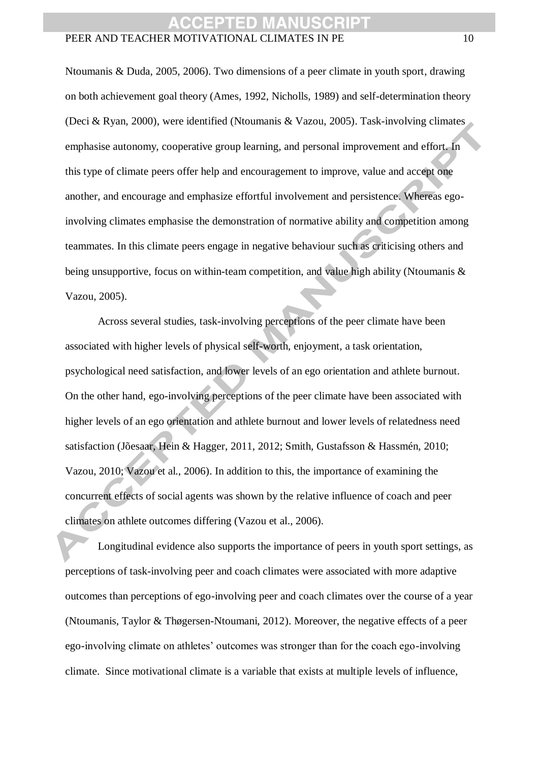Ntoumanis & Duda, 2005, 2006). Two dimensions of a peer climate in youth sport, drawing on both achievement goal theory (Ames, 1992, Nicholls, 1989) and self-determination theory (Deci & Ryan, 2000), were identified (Ntoumanis & Vazou, 2005). Task-involving climates emphasise autonomy, cooperative group learning, and personal improvement and effort. In this type of climate peers offer help and encouragement to improve, value and accept one another, and encourage and emphasize effortful involvement and persistence. Whereas egoinvolving climates emphasise the demonstration of normative ability and competition among teammates. In this climate peers engage in negative behaviour such as criticising others and being unsupportive, focus on within-team competition, and value high ability (Ntoumanis & Vazou, 2005).

Across several studies, task-involving perceptions of the peer climate have been associated with higher levels of physical self-worth, enjoyment, a task orientation, psychological need satisfaction, and lower levels of an ego orientation and athlete burnout. On the other hand, ego-involving perceptions of the peer climate have been associated with higher levels of an ego orientation and athlete burnout and lower levels of relatedness need satisfaction (Jõesaar, Hein & Hagger, 2011, 2012; Smith, Gustafsson & Hassmén, 2010; Vazou, 2010; Vazou et al., 2006). In addition to this, the importance of examining the concurrent effects of social agents was shown by the relative influence of coach and peer climates on athlete outcomes differing (Vazou et al., 2006).

Longitudinal evidence also supports the importance of peers in youth sport settings, as perceptions of task-involving peer and coach climates were associated with more adaptive outcomes than perceptions of ego-involving peer and coach climates over the course of a year (Ntoumanis, Taylor & Thøgersen-Ntoumani, 2012). Moreover, the negative effects of a peer ego-involving climate on athletes' outcomes was stronger than for the coach ego-involving climate. Since motivational climate is a variable that exists at multiple levels of influence,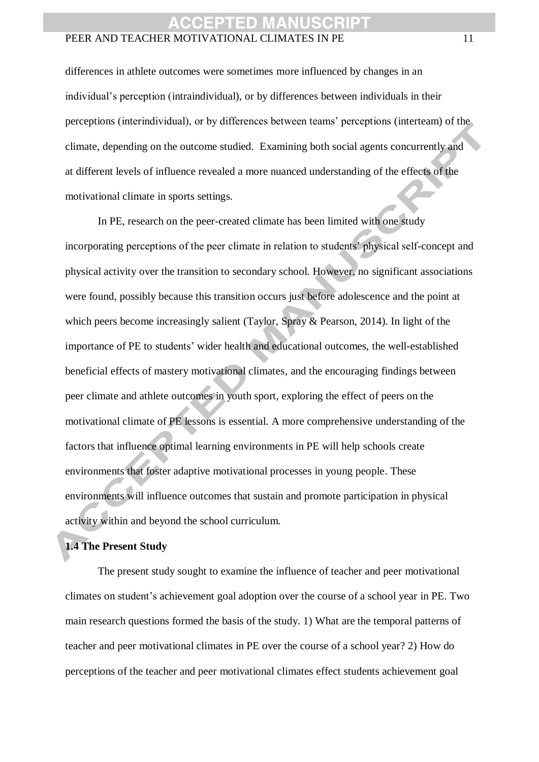differences in athlete outcomes were sometimes more influenced by changes in an individual's perception (intraindividual), or by differences between individuals in their perceptions (interindividual), or by differences between teams' perceptions (interteam) of the climate, depending on the outcome studied. Examining both social agents concurrently and at different levels of influence revealed a more nuanced understanding of the effects of the motivational climate in sports settings.

In PE, research on the peer-created climate has been limited with one study incorporating perceptions of the peer climate in relation to students' physical self-concept and physical activity over the transition to secondary school. However, no significant associations were found, possibly because this transition occurs just before adolescence and the point at which peers become increasingly salient (Taylor, Spray & Pearson, 2014). In light of the importance of PE to students' wider health and educational outcomes, the well-established beneficial effects of mastery motivational climates, and the encouraging findings between peer climate and athlete outcomes in youth sport, exploring the effect of peers on the motivational climate of PE lessons is essential. A more comprehensive understanding of the factors that influence optimal learning environments in PE will help schools create environments that foster adaptive motivational processes in young people. These environments will influence outcomes that sustain and promote participation in physical activity within and beyond the school curriculum.

#### **1.4 The Present Study**

The present study sought to examine the influence of teacher and peer motivational climates on student's achievement goal adoption over the course of a school year in PE. Two main research questions formed the basis of the study. 1) What are the temporal patterns of teacher and peer motivational climates in PE over the course of a school year? 2) How do perceptions of the teacher and peer motivational climates effect students achievement goal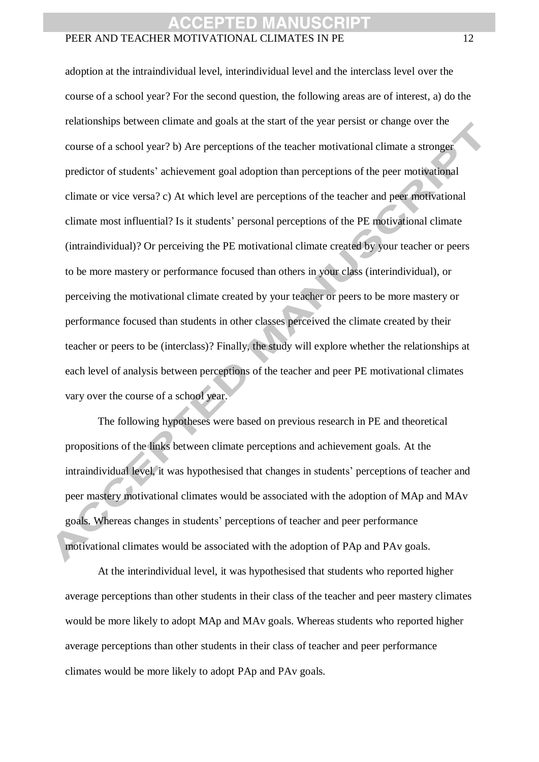adoption at the intraindividual level, interindividual level and the interclass level over the course of a school year? For the second question, the following areas are of interest, a) do the relationships between climate and goals at the start of the year persist or change over the course of a school year? b) Are perceptions of the teacher motivational climate a stronger predictor of students' achievement goal adoption than perceptions of the peer motivational climate or vice versa? c) At which level are perceptions of the teacher and peer motivational climate most influential? Is it students' personal perceptions of the PE motivational climate (intraindividual)? Or perceiving the PE motivational climate created by your teacher or peers to be more mastery or performance focused than others in your class (interindividual), or perceiving the motivational climate created by your teacher or peers to be more mastery or performance focused than students in other classes perceived the climate created by their teacher or peers to be (interclass)? Finally, the study will explore whether the relationships at each level of analysis between perceptions of the teacher and peer PE motivational climates vary over the course of a school year.

The following hypotheses were based on previous research in PE and theoretical propositions of the links between climate perceptions and achievement goals. At the intraindividual level, it was hypothesised that changes in students' perceptions of teacher and peer mastery motivational climates would be associated with the adoption of MAp and MAv goals. Whereas changes in students' perceptions of teacher and peer performance motivational climates would be associated with the adoption of PAp and PAv goals.

At the interindividual level, it was hypothesised that students who reported higher average perceptions than other students in their class of the teacher and peer mastery climates would be more likely to adopt MAp and MAv goals. Whereas students who reported higher average perceptions than other students in their class of teacher and peer performance climates would be more likely to adopt PAp and PAv goals.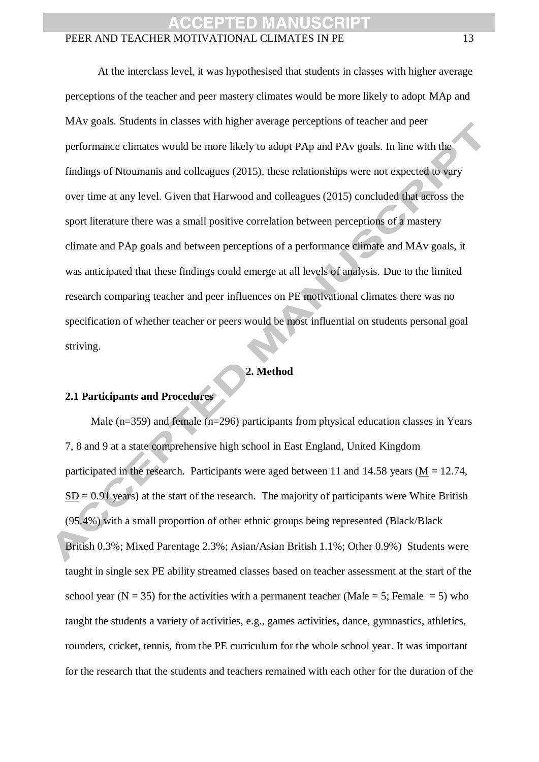At the interclass level, it was hypothesised that students in classes with higher average perceptions of the teacher and peer mastery climates would be more likely to adopt MAp and MAv goals. Students in classes with higher average perceptions of teacher and peer performance climates would be more likely to adopt PAp and PAv goals. In line with the findings of Ntoumanis and colleagues (2015), these relationships were not expected to vary over time at any level. Given that Harwood and colleagues (2015) concluded that across the sport literature there was a small positive correlation between perceptions of a mastery climate and PAp goals and between perceptions of a performance climate and MAv goals, it was anticipated that these findings could emerge at all levels of analysis. Due to the limited research comparing teacher and peer influences on PE motivational climates there was no specification of whether teacher or peers would be most influential on students personal goal striving.

#### **2. Method**

#### **2.1 Participants and Procedures**

Male  $(n=359)$  and female  $(n=296)$  participants from physical education classes in Years 7, 8 and 9 at a state comprehensive high school in East England, United Kingdom participated in the research. Participants were aged between 11 and 14.58 years ( $M = 12.74$ ,  $SD = 0.91$  years) at the start of the research. The majority of participants were White British (95.4%) with a small proportion of other ethnic groups being represented (Black/Black British 0.3%; Mixed Parentage 2.3%; Asian/Asian British 1.1%; Other 0.9%) Students were taught in single sex PE ability streamed classes based on teacher assessment at the start of the school year (N = 35) for the activities with a permanent teacher (Male = 5; Female = 5) who taught the students a variety of activities, e.g., games activities, dance, gymnastics, athletics, rounders, cricket, tennis, from the PE curriculum for the whole school year. It was important for the research that the students and teachers remained with each other for the duration of the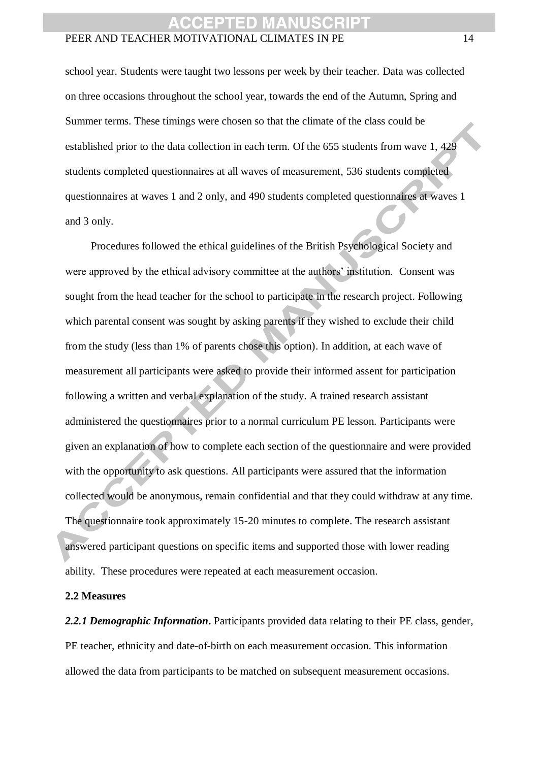school year. Students were taught two lessons per week by their teacher. Data was collected on three occasions throughout the school year, towards the end of the Autumn, Spring and Summer terms. These timings were chosen so that the climate of the class could be established prior to the data collection in each term. Of the 655 students from wave 1, 429 students completed questionnaires at all waves of measurement, 536 students completed questionnaires at waves 1 and 2 only, and 490 students completed questionnaires at waves 1 and 3 only.

Procedures followed the ethical guidelines of the British Psychological Society and were approved by the ethical advisory committee at the authors' institution. Consent was sought from the head teacher for the school to participate in the research project. Following which parental consent was sought by asking parents if they wished to exclude their child from the study (less than 1% of parents chose this option). In addition, at each wave of measurement all participants were asked to provide their informed assent for participation following a written and verbal explanation of the study. A trained research assistant administered the questionnaires prior to a normal curriculum PE lesson. Participants were given an explanation of how to complete each section of the questionnaire and were provided with the opportunity to ask questions. All participants were assured that the information collected would be anonymous, remain confidential and that they could withdraw at any time. The questionnaire took approximately 15-20 minutes to complete. The research assistant answered participant questions on specific items and supported those with lower reading ability. These procedures were repeated at each measurement occasion.

#### **2.2 Measures**

2.2.1 Demographic Information. Participants provided data relating to their PE class, gender, PE teacher, ethnicity and date-of-birth on each measurement occasion. This information allowed the data from participants to be matched on subsequent measurement occasions.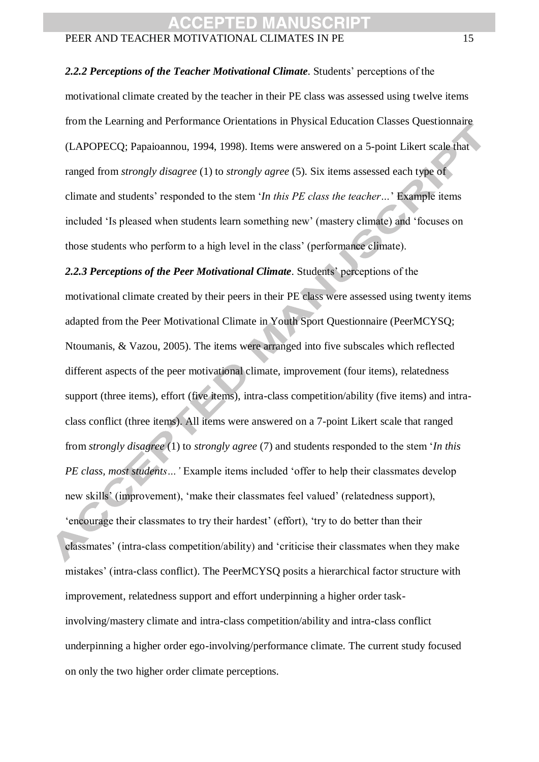*2.2.2 Perceptions of the Teacher Motivational Climate*. Students' perceptions of the

motivational climate created by the teacher in their PE class was assessed using twelve items from the Learning and Performance Orientations in Physical Education Classes Questionnaire (LAPOPECQ; Papaioannou, 1994, 1998). Items were answered on a 5-point Likert scale that ranged from *strongly disagree* (1) to *strongly agree* (5). Six items assessed each type of climate and students' responded to the stem '*In this PE class the teacher…*' Example items included 'Is pleased when students learn something new' (mastery climate) and 'focuses on those students who perform to a high level in the class' (performance climate).

*2.2.3 Perceptions of the Peer Motivational Climate*. Students' perceptions of the motivational climate created by their peers in their PE class were assessed using twenty items adapted from the Peer Motivational Climate in Youth Sport Questionnaire (PeerMCYSQ; Ntoumanis, & Vazou, 2005). The items were arranged into five subscales which reflected different aspects of the peer motivational climate, improvement (four items), relatedness support (three items), effort (five items), intra-class competition/ability (five items) and intraclass conflict (three items). All items were answered on a 7-point Likert scale that ranged from *strongly disagree* (1) to *strongly agree* (7) and students responded to the stem '*In this PE class, most students…'* Example items included 'offer to help their classmates develop new skills' (improvement), 'make their classmates feel valued' (relatedness support), 'encourage their classmates to try their hardest' (effort), 'try to do better than their classmates' (intra-class competition/ability) and 'criticise their classmates when they make mistakes' (intra-class conflict). The PeerMCYSQ posits a hierarchical factor structure with improvement, relatedness support and effort underpinning a higher order taskinvolving/mastery climate and intra-class competition/ability and intra-class conflict underpinning a higher order ego-involving/performance climate. The current study focused on only the two higher order climate perceptions.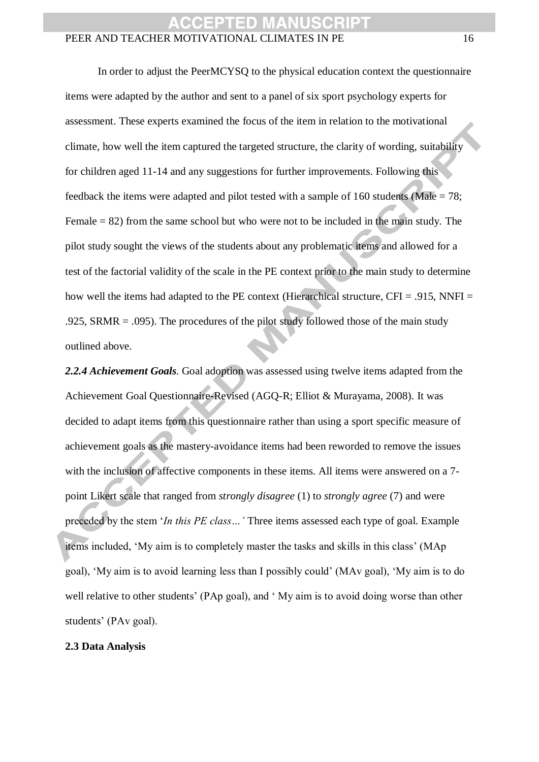In order to adjust the PeerMCYSQ to the physical education context the questionnaire items were adapted by the author and sent to a panel of six sport psychology experts for assessment. These experts examined the focus of the item in relation to the motivational climate, how well the item captured the targeted structure, the clarity of wording, suitability for children aged 11-14 and any suggestions for further improvements. Following this feedback the items were adapted and pilot tested with a sample of 160 students (Male = 78; Female  $= 82$ ) from the same school but who were not to be included in the main study. The pilot study sought the views of the students about any problematic items and allowed for a test of the factorial validity of the scale in the PE context prior to the main study to determine how well the items had adapted to the PE context (Hierarchical structure,  $CFI = .915$ , NNFI = .925, SRMR = .095). The procedures of the pilot study followed those of the main study outlined above.

*2.2.4 Achievement Goals*. Goal adoption was assessed using twelve items adapted from the Achievement Goal Questionnaire-Revised (AGQ-R; Elliot & Murayama, 2008). It was decided to adapt items from this questionnaire rather than using a sport specific measure of achievement goals as the mastery-avoidance items had been reworded to remove the issues with the inclusion of affective components in these items. All items were answered on a 7 point Likert scale that ranged from *strongly disagree* (1) to *strongly agree* (7) and were preceded by the stem '*In this PE class…'* Three items assessed each type of goal. Example items included, 'My aim is to completely master the tasks and skills in this class' (MAp goal), 'My aim is to avoid learning less than I possibly could' (MAv goal), 'My aim is to do well relative to other students' (PAp goal), and 'My aim is to avoid doing worse than other students' (PAv goal).

#### **2.3 Data Analysis**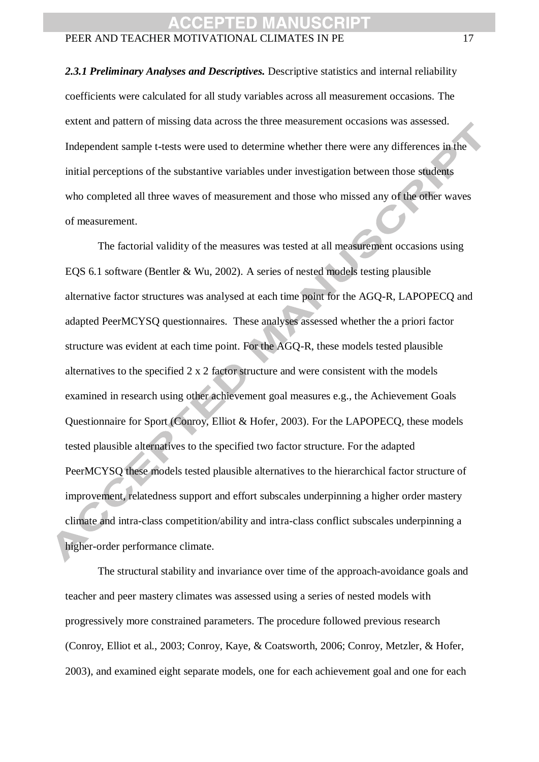*2.3.1 Preliminary Analyses and Descriptives.* Descriptive statistics and internal reliability coefficients were calculated for all study variables across all measurement occasions. The extent and pattern of missing data across the three measurement occasions was assessed. Independent sample t-tests were used to determine whether there were any differences in the initial perceptions of the substantive variables under investigation between those students who completed all three waves of measurement and those who missed any of the other waves of measurement.

The factorial validity of the measures was tested at all measurement occasions using EQS 6.1 software (Bentler & Wu, 2002). A series of nested models testing plausible alternative factor structures was analysed at each time point for the AGQ-R, LAPOPECQ and adapted PeerMCYSQ questionnaires. These analyses assessed whether the a priori factor structure was evident at each time point. For the AGQ-R, these models tested plausible alternatives to the specified 2 x 2 factor structure and were consistent with the models examined in research using other achievement goal measures e.g., the Achievement Goals Questionnaire for Sport (Conroy, Elliot & Hofer, 2003). For the LAPOPECQ, these models tested plausible alternatives to the specified two factor structure. For the adapted PeerMCYSQ these models tested plausible alternatives to the hierarchical factor structure of improvement, relatedness support and effort subscales underpinning a higher order mastery climate and intra-class competition/ability and intra-class conflict subscales underpinning a higher-order performance climate.

The structural stability and invariance over time of the approach-avoidance goals and teacher and peer mastery climates was assessed using a series of nested models with progressively more constrained parameters. The procedure followed previous research (Conroy, Elliot et al., 2003; Conroy, Kaye, & Coatsworth, 2006; Conroy, Metzler, & Hofer, 2003), and examined eight separate models, one for each achievement goal and one for each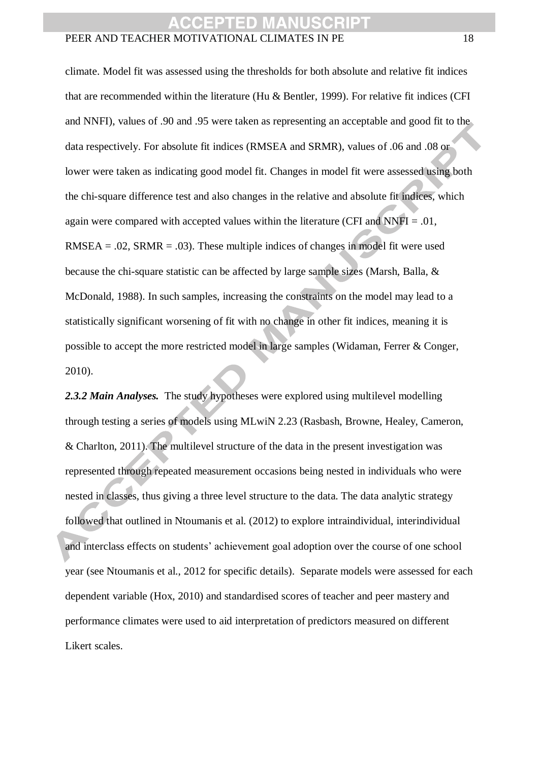climate. Model fit was assessed using the thresholds for both absolute and relative fit indices that are recommended within the literature (Hu & Bentler, 1999). For relative fit indices (CFI and NNFI), values of .90 and .95 were taken as representing an acceptable and good fit to the data respectively. For absolute fit indices (RMSEA and SRMR), values of .06 and .08 or lower were taken as indicating good model fit. Changes in model fit were assessed using both the chi-square difference test and also changes in the relative and absolute fit indices, which again were compared with accepted values within the literature (CFI and  $NNFI = .01$ ,  $RMSEA = .02$ ,  $SRMR = .03$ ). These multiple indices of changes in model fit were used because the chi-square statistic can be affected by large sample sizes (Marsh, Balla, & McDonald, 1988). In such samples, increasing the constraints on the model may lead to a statistically significant worsening of fit with no change in other fit indices, meaning it is possible to accept the more restricted model in large samples (Widaman, Ferrer & Conger, 2010).

*2.3.2 Main Analyses.* The study hypotheses were explored using multilevel modelling through testing a series of models using MLwiN 2.23 (Rasbash, Browne, Healey, Cameron, & Charlton, 2011). The multilevel structure of the data in the present investigation was represented through repeated measurement occasions being nested in individuals who were nested in classes, thus giving a three level structure to the data. The data analytic strategy followed that outlined in Ntoumanis et al. (2012) to explore intraindividual, interindividual and interclass effects on students' achievement goal adoption over the course of one school year (see Ntoumanis et al., 2012 for specific details). Separate models were assessed for each dependent variable (Hox, 2010) and standardised scores of teacher and peer mastery and performance climates were used to aid interpretation of predictors measured on different Likert scales.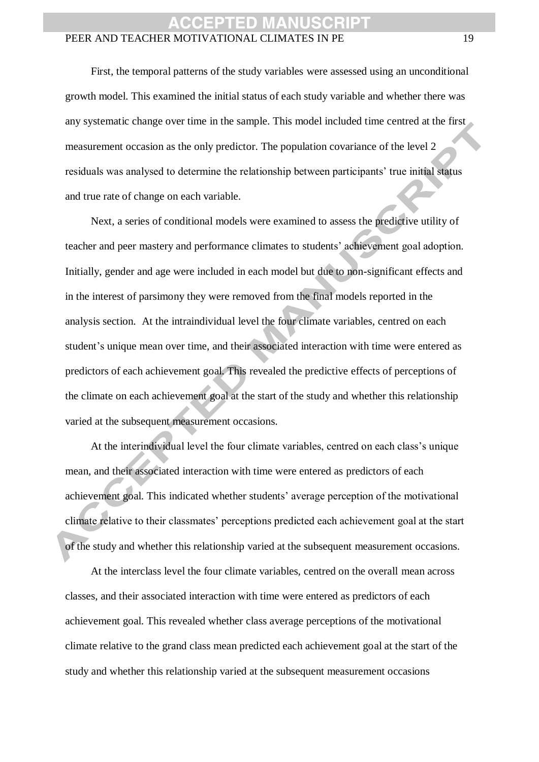First, the temporal patterns of the study variables were assessed using an unconditional growth model. This examined the initial status of each study variable and whether there was any systematic change over time in the sample. This model included time centred at the first measurement occasion as the only predictor. The population covariance of the level 2 residuals was analysed to determine the relationship between participants' true initial status and true rate of change on each variable.

Next, a series of conditional models were examined to assess the predictive utility of teacher and peer mastery and performance climates to students' achievement goal adoption. Initially, gender and age were included in each model but due to non-significant effects and in the interest of parsimony they were removed from the final models reported in the analysis section. At the intraindividual level the four climate variables, centred on each student's unique mean over time, and their associated interaction with time were entered as predictors of each achievement goal. This revealed the predictive effects of perceptions of the climate on each achievement goal at the start of the study and whether this relationship varied at the subsequent measurement occasions.

At the interindividual level the four climate variables, centred on each class's unique mean, and their associated interaction with time were entered as predictors of each achievement goal. This indicated whether students' average perception of the motivational climate relative to their classmates' perceptions predicted each achievement goal at the start of the study and whether this relationship varied at the subsequent measurement occasions.

At the interclass level the four climate variables, centred on the overall mean across classes, and their associated interaction with time were entered as predictors of each achievement goal. This revealed whether class average perceptions of the motivational climate relative to the grand class mean predicted each achievement goal at the start of the study and whether this relationship varied at the subsequent measurement occasions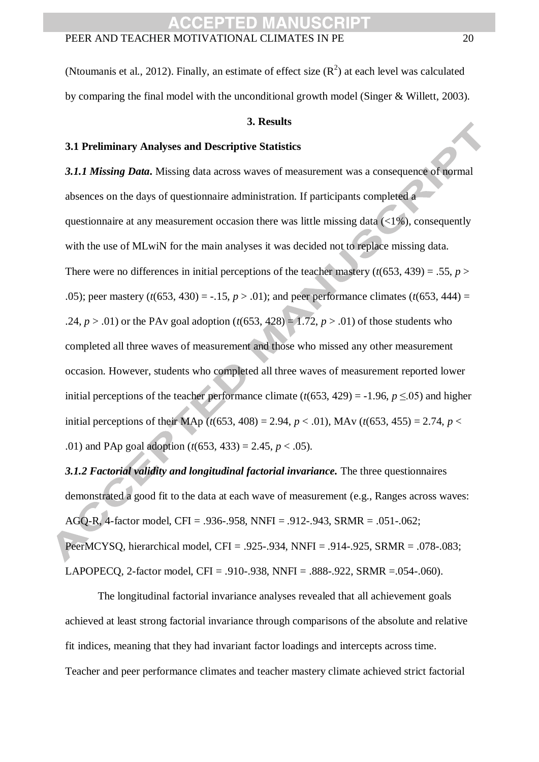(Ntoumanis et al., 2012). Finally, an estimate of effect size  $(R^2)$  at each level was calculated by comparing the final model with the unconditional growth model (Singer & Willett, 2003).

#### **3. Results**

#### **3.1 Preliminary Analyses and Descriptive Statistics**

*3.1.1 Missing Data***.** Missing data across waves of measurement was a consequence of normal absences on the days of questionnaire administration. If participants completed a questionnaire at any measurement occasion there was little missing data  $\left\langle \langle 1\% \rangle \right\rangle$ , consequently with the use of MLwiN for the main analyses it was decided not to replace missing data. There were no differences in initial perceptions of the teacher mastery  $(t(653, 439) = .55, p >$ .05); peer mastery  $(t(653, 430) = -.15, p > .01)$ ; and peer performance climates  $(t(653, 444) =$ .24,  $p > 0.01$  or the PAv goal adoption ( $t(653, 428) = 1.72$ ,  $p > 0.01$ ) of those students who completed all three waves of measurement and those who missed any other measurement occasion. However, students who completed all three waves of measurement reported lower initial perceptions of the teacher performance climate  $(t(653, 429) = -1.96, p \le 0.05)$  and higher initial perceptions of their MAp ( $t(653, 408) = 2.94$ ,  $p < .01$ ), MAy ( $t(653, 455) = 2.74$ ,  $p < .01$ ) .01) and PAp goal adoption (*t*(653, 433) = 2.45, *p* < .05).

*3.1.2 Factorial validity and longitudinal factorial invariance.* The three questionnaires demonstrated a good fit to the data at each wave of measurement (e.g., Ranges across waves: AGQ-R, 4-factor model, CFI = .936-.958, NNFI = .912-.943, SRMR = .051-.062; PeerMCYSQ, hierarchical model, CFI = .925-.934, NNFI = .914-.925, SRMR = .078-.083; LAPOPECQ, 2-factor model, CFI = .910-.938, NNFI = .888-.922, SRMR =.054-.060).

The longitudinal factorial invariance analyses revealed that all achievement goals achieved at least strong factorial invariance through comparisons of the absolute and relative fit indices, meaning that they had invariant factor loadings and intercepts across time. Teacher and peer performance climates and teacher mastery climate achieved strict factorial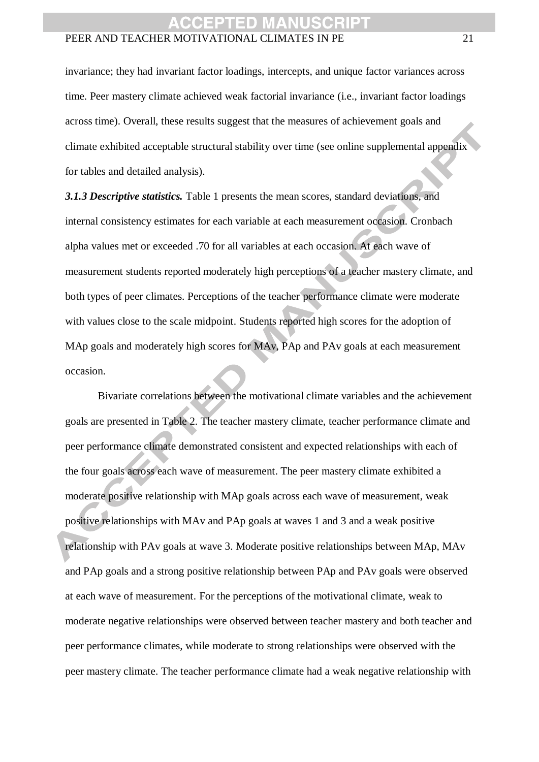invariance; they had invariant factor loadings, intercepts, and unique factor variances across time. Peer mastery climate achieved weak factorial invariance (i.e., invariant factor loadings across time). Overall, these results suggest that the measures of achievement goals and climate exhibited acceptable structural stability over time (see online supplemental appendix for tables and detailed analysis).

*3.1.3 Descriptive statistics.* Table 1 presents the mean scores, standard deviations, and internal consistency estimates for each variable at each measurement occasion. Cronbach alpha values met or exceeded .70 for all variables at each occasion. At each wave of measurement students reported moderately high perceptions of a teacher mastery climate, and both types of peer climates. Perceptions of the teacher performance climate were moderate with values close to the scale midpoint. Students reported high scores for the adoption of MAp goals and moderately high scores for MAv, PAp and PAv goals at each measurement occasion.

Bivariate correlations between the motivational climate variables and the achievement goals are presented in Table 2. The teacher mastery climate, teacher performance climate and peer performance climate demonstrated consistent and expected relationships with each of the four goals across each wave of measurement. The peer mastery climate exhibited a moderate positive relationship with MAp goals across each wave of measurement, weak positive relationships with MAv and PAp goals at waves 1 and 3 and a weak positive relationship with PAv goals at wave 3. Moderate positive relationships between MAp, MAv and PAp goals and a strong positive relationship between PAp and PAv goals were observed at each wave of measurement. For the perceptions of the motivational climate, weak to moderate negative relationships were observed between teacher mastery and both teacher and peer performance climates, while moderate to strong relationships were observed with the peer mastery climate. The teacher performance climate had a weak negative relationship with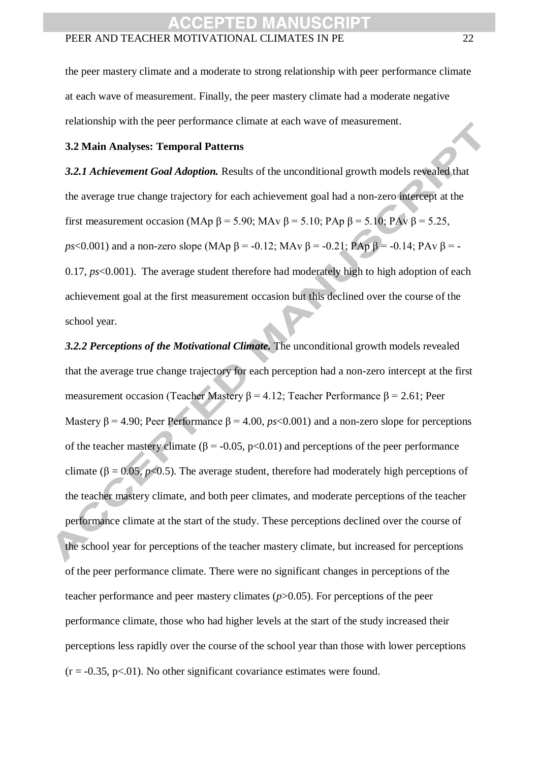the peer mastery climate and a moderate to strong relationship with peer performance climate at each wave of measurement. Finally, the peer mastery climate had a moderate negative relationship with the peer performance climate at each wave of measurement.

#### **3.2 Main Analyses: Temporal Patterns**

*3.2.1 Achievement Goal Adoption.* Results of the unconditional growth models revealed that the average true change trajectory for each achievement goal had a non-zero intercept at the first measurement occasion (MAp  $\beta$  = 5.90; MAv  $\beta$  = 5.10; PAp  $\beta$  = 5.10; PAv  $\beta$  = 5.25, *ps*<0.001) and a non-zero slope (MAp  $\beta$  = -0.12; MAv  $\beta$  = -0.21; PAp  $\beta$  = -0.14; PAv  $\beta$  = -0.17, *ps*<0.001). The average student therefore had moderately high to high adoption of each achievement goal at the first measurement occasion but this declined over the course of the school year.

*3.2.2 Perceptions of the Motivational Climate.* The unconditional growth models revealed that the average true change trajectory for each perception had a non-zero intercept at the first measurement occasion (Teacher Mastery β = 4.12; Teacher Performance β = 2.61; Peer Mastery  $\beta$  = 4.90; Peer Performance  $\beta$  = 4.00, *ps*<0.001) and a non-zero slope for perceptions of the teacher mastery climate ( $\beta$  = -0.05, p<0.01) and perceptions of the peer performance climate ( $\beta = 0.05$ ,  $p < 0.5$ ). The average student, therefore had moderately high perceptions of the teacher mastery climate, and both peer climates, and moderate perceptions of the teacher performance climate at the start of the study. These perceptions declined over the course of the school year for perceptions of the teacher mastery climate, but increased for perceptions of the peer performance climate. There were no significant changes in perceptions of the teacher performance and peer mastery climates (*p*>0.05). For perceptions of the peer performance climate, those who had higher levels at the start of the study increased their perceptions less rapidly over the course of the school year than those with lower perceptions  $(r = -0.35, p < 01)$ . No other significant covariance estimates were found.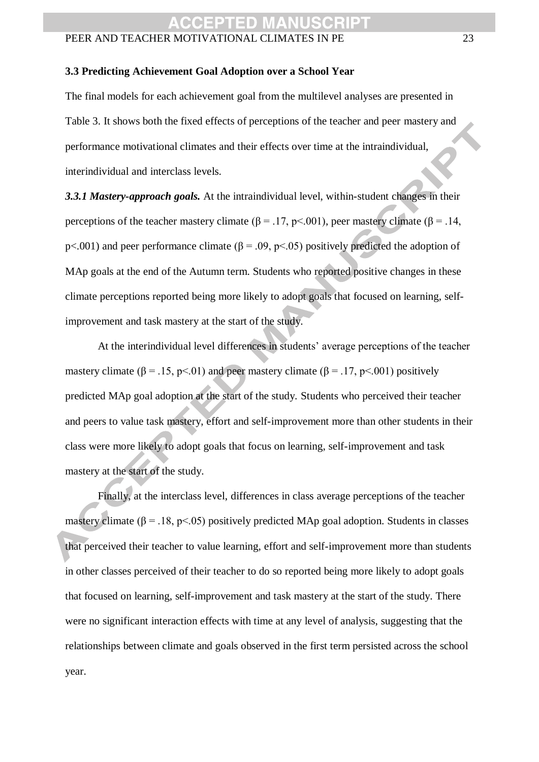#### **3.3 Predicting Achievement Goal Adoption over a School Year**

The final models for each achievement goal from the multilevel analyses are presented in Table 3. It shows both the fixed effects of perceptions of the teacher and peer mastery and performance motivational climates and their effects over time at the intraindividual, interindividual and interclass levels.

*3.3.1 Mastery-approach goals.* At the intraindividual level, within-student changes in their perceptions of the teacher mastery climate ( $\beta$  = .17, p < .001), peer mastery climate ( $\beta$  = .14, p<.001) and peer performance climate ( $\beta$  = .09, p<.05) positively predicted the adoption of MAp goals at the end of the Autumn term. Students who reported positive changes in these climate perceptions reported being more likely to adopt goals that focused on learning, selfimprovement and task mastery at the start of the study.

At the interindividual level differences in students' average perceptions of the teacher mastery climate ( $\beta$  = .15, p<.01) and peer mastery climate ( $\beta$  = .17, p<.001) positively predicted MAp goal adoption at the start of the study. Students who perceived their teacher and peers to value task mastery, effort and self-improvement more than other students in their class were more likely to adopt goals that focus on learning, self-improvement and task mastery at the start of the study.

Finally, at the interclass level, differences in class average perceptions of the teacher mastery climate ( $\beta$  = .18, p<.05) positively predicted MAp goal adoption. Students in classes that perceived their teacher to value learning, effort and self-improvement more than students in other classes perceived of their teacher to do so reported being more likely to adopt goals that focused on learning, self-improvement and task mastery at the start of the study. There were no significant interaction effects with time at any level of analysis, suggesting that the relationships between climate and goals observed in the first term persisted across the school year.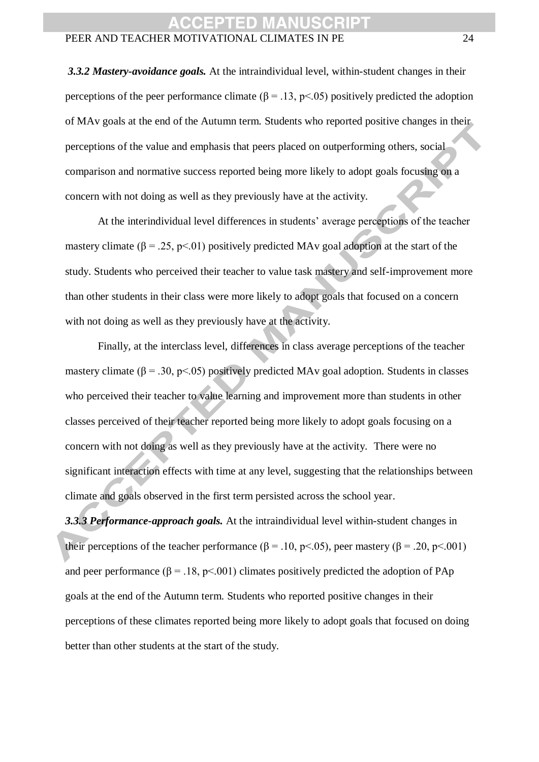*3.3.2 Mastery-avoidance goals.* At the intraindividual level, within-student changes in their perceptions of the peer performance climate  $(β = 0.13, p < 0.05)$  positively predicted the adoption of MAv goals at the end of the Autumn term. Students who reported positive changes in their perceptions of the value and emphasis that peers placed on outperforming others, social comparison and normative success reported being more likely to adopt goals focusing on a concern with not doing as well as they previously have at the activity.

At the interindividual level differences in students' average perceptions of the teacher mastery climate ( $\beta = 0.25$ , p<0.01) positively predicted MAv goal adoption at the start of the study. Students who perceived their teacher to value task mastery and self-improvement more than other students in their class were more likely to adopt goals that focused on a concern with not doing as well as they previously have at the activity.

Finally, at the interclass level, differences in class average perceptions of the teacher mastery climate ( $\beta$  = .30, p<.05) positively predicted MAv goal adoption. Students in classes who perceived their teacher to value learning and improvement more than students in other classes perceived of their teacher reported being more likely to adopt goals focusing on a concern with not doing as well as they previously have at the activity. There were no significant interaction effects with time at any level, suggesting that the relationships between climate and goals observed in the first term persisted across the school year.

*3.3.3 Performance-approach goals.* At the intraindividual level within-student changes in their perceptions of the teacher performance ( $\beta$  = .10, p<.05), peer mastery ( $\beta$  = .20, p<.001) and peer performance ( $\beta = 0.18$ , p<0.01) climates positively predicted the adoption of PAp goals at the end of the Autumn term. Students who reported positive changes in their perceptions of these climates reported being more likely to adopt goals that focused on doing better than other students at the start of the study.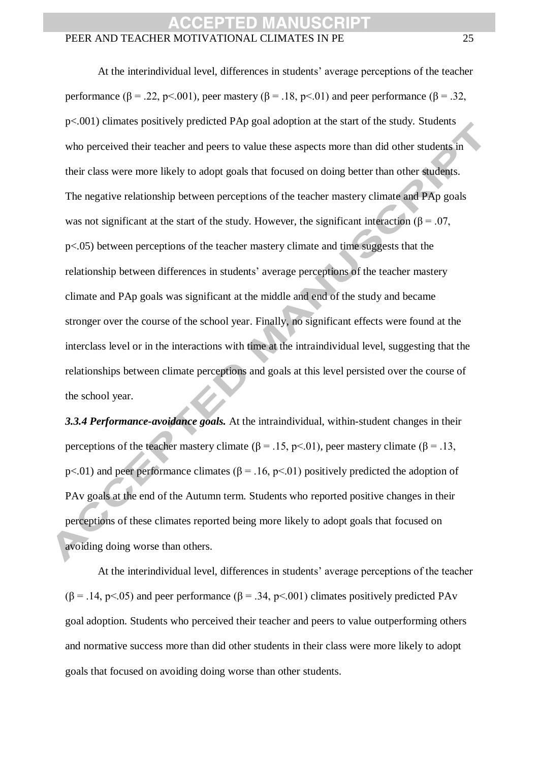At the interindividual level, differences in students' average perceptions of the teacher performance  $(β = .22, p < .001)$ , peer mastery  $(β = .18, p < .01)$  and peer performance  $(β = .32,$ p<.001) climates positively predicted PAp goal adoption at the start of the study. Students who perceived their teacher and peers to value these aspects more than did other students in their class were more likely to adopt goals that focused on doing better than other students. The negative relationship between perceptions of the teacher mastery climate and PAp goals was not significant at the start of the study. However, the significant interaction ( $\beta$  = .07, p<.05) between perceptions of the teacher mastery climate and time suggests that the relationship between differences in students' average perceptions of the teacher mastery climate and PAp goals was significant at the middle and end of the study and became stronger over the course of the school year. Finally, no significant effects were found at the interclass level or in the interactions with time at the intraindividual level, suggesting that the relationships between climate perceptions and goals at this level persisted over the course of the school year.

*3.3.4 Performance-avoidance goals.* At the intraindividual, within-student changes in their perceptions of the teacher mastery climate ( $\beta = .15$ , p<.01), peer mastery climate ( $\beta = .13$ , p<.01) and peer performance climates ( $\beta$  = .16, p<.01) positively predicted the adoption of PAv goals at the end of the Autumn term. Students who reported positive changes in their perceptions of these climates reported being more likely to adopt goals that focused on avoiding doing worse than others.

At the interindividual level, differences in students' average perceptions of the teacher  $(\beta = .14, \text{ p} < .05)$  and peer performance  $(\beta = .34, \text{ p} < .001)$  climates positively predicted PAv goal adoption. Students who perceived their teacher and peers to value outperforming others and normative success more than did other students in their class were more likely to adopt goals that focused on avoiding doing worse than other students.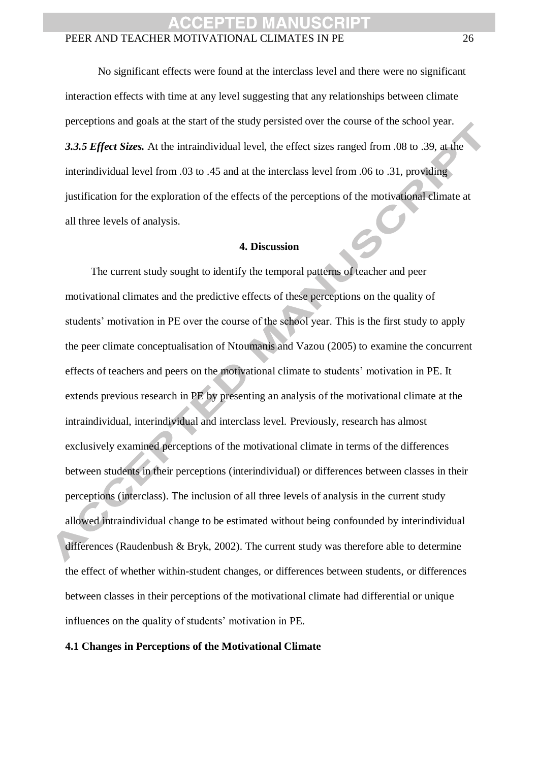No significant effects were found at the interclass level and there were no significant interaction effects with time at any level suggesting that any relationships between climate perceptions and goals at the start of the study persisted over the course of the school year. *3.3.5 Effect Sizes.* At the intraindividual level, the effect sizes ranged from .08 to .39, at the interindividual level from .03 to .45 and at the interclass level from .06 to .31, providing justification for the exploration of the effects of the perceptions of the motivational climate at all three levels of analysis.

#### **4. Discussion**

The current study sought to identify the temporal patterns of teacher and peer motivational climates and the predictive effects of these perceptions on the quality of students' motivation in PE over the course of the school year. This is the first study to apply the peer climate conceptualisation of Ntoumanis and Vazou (2005) to examine the concurrent effects of teachers and peers on the motivational climate to students' motivation in PE. It extends previous research in PE by presenting an analysis of the motivational climate at the intraindividual, interindividual and interclass level. Previously, research has almost exclusively examined perceptions of the motivational climate in terms of the differences between students in their perceptions (interindividual) or differences between classes in their perceptions (interclass). The inclusion of all three levels of analysis in the current study allowed intraindividual change to be estimated without being confounded by interindividual differences (Raudenbush & Bryk, 2002). The current study was therefore able to determine the effect of whether within-student changes, or differences between students, or differences between classes in their perceptions of the motivational climate had differential or unique influences on the quality of students' motivation in PE.

#### **4.1 Changes in Perceptions of the Motivational Climate**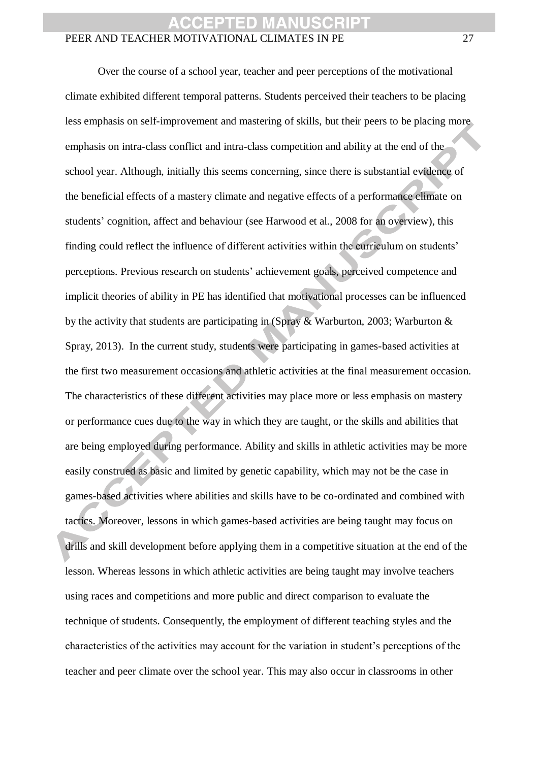Over the course of a school year, teacher and peer perceptions of the motivational climate exhibited different temporal patterns. Students perceived their teachers to be placing less emphasis on self-improvement and mastering of skills, but their peers to be placing more emphasis on intra-class conflict and intra-class competition and ability at the end of the school year. Although, initially this seems concerning, since there is substantial evidence of the beneficial effects of a mastery climate and negative effects of a performance climate on students' cognition, affect and behaviour (see Harwood et al., 2008 for an overview), this finding could reflect the influence of different activities within the curriculum on students' perceptions. Previous research on students' achievement goals, perceived competence and implicit theories of ability in PE has identified that motivational processes can be influenced by the activity that students are participating in (Spray & Warburton, 2003; Warburton & Spray, 2013). In the current study, students were participating in games-based activities at the first two measurement occasions and athletic activities at the final measurement occasion. The characteristics of these different activities may place more or less emphasis on mastery or performance cues due to the way in which they are taught, or the skills and abilities that are being employed during performance. Ability and skills in athletic activities may be more easily construed as basic and limited by genetic capability, which may not be the case in games-based activities where abilities and skills have to be co-ordinated and combined with tactics. Moreover, lessons in which games-based activities are being taught may focus on drills and skill development before applying them in a competitive situation at the end of the lesson. Whereas lessons in which athletic activities are being taught may involve teachers using races and competitions and more public and direct comparison to evaluate the technique of students. Consequently, the employment of different teaching styles and the characteristics of the activities may account for the variation in student's perceptions of the teacher and peer climate over the school year. This may also occur in classrooms in other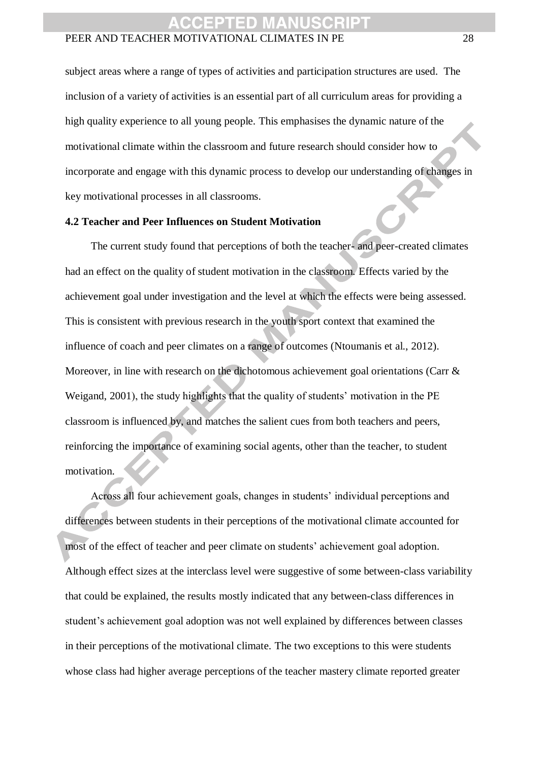subject areas where a range of types of activities and participation structures are used. The inclusion of a variety of activities is an essential part of all curriculum areas for providing a high quality experience to all young people. This emphasises the dynamic nature of the motivational climate within the classroom and future research should consider how to incorporate and engage with this dynamic process to develop our understanding of changes in key motivational processes in all classrooms.

#### **4.2 Teacher and Peer Influences on Student Motivation**

The current study found that perceptions of both the teacher- and peer-created climates had an effect on the quality of student motivation in the classroom. Effects varied by the achievement goal under investigation and the level at which the effects were being assessed. This is consistent with previous research in the youth sport context that examined the influence of coach and peer climates on a range of outcomes (Ntoumanis et al., 2012). Moreover, in line with research on the dichotomous achievement goal orientations (Carr & Weigand, 2001), the study highlights that the quality of students' motivation in the PE classroom is influenced by, and matches the salient cues from both teachers and peers, reinforcing the importance of examining social agents, other than the teacher, to student motivation.

Across all four achievement goals, changes in students' individual perceptions and differences between students in their perceptions of the motivational climate accounted for most of the effect of teacher and peer climate on students' achievement goal adoption. Although effect sizes at the interclass level were suggestive of some between-class variability that could be explained, the results mostly indicated that any between-class differences in student's achievement goal adoption was not well explained by differences between classes in their perceptions of the motivational climate. The two exceptions to this were students whose class had higher average perceptions of the teacher mastery climate reported greater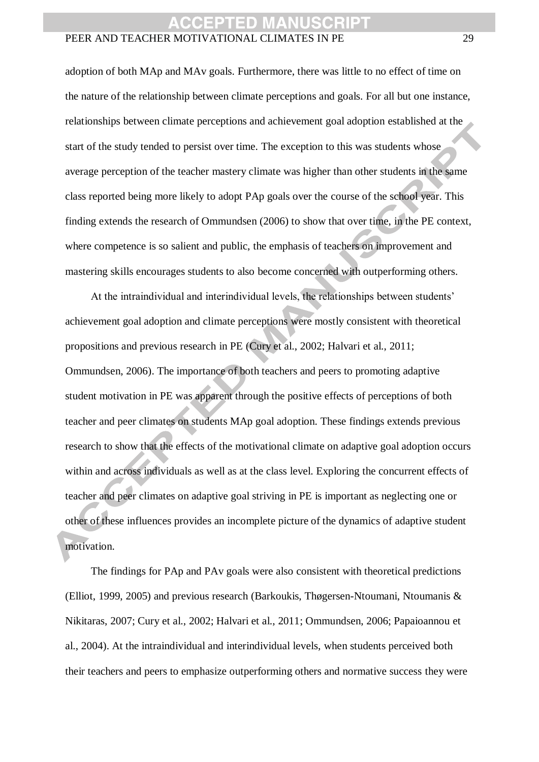adoption of both MAp and MAv goals. Furthermore, there was little to no effect of time on the nature of the relationship between climate perceptions and goals. For all but one instance, relationships between climate perceptions and achievement goal adoption established at the start of the study tended to persist over time. The exception to this was students whose average perception of the teacher mastery climate was higher than other students in the same class reported being more likely to adopt PAp goals over the course of the school year. This finding extends the research of Ommundsen (2006) to show that over time, in the PE context, where competence is so salient and public, the emphasis of teachers on improvement and mastering skills encourages students to also become concerned with outperforming others.

At the intraindividual and interindividual levels, the relationships between students' achievement goal adoption and climate perceptions were mostly consistent with theoretical propositions and previous research in PE (Cury et al., 2002; Halvari et al., 2011; Ommundsen, 2006). The importance of both teachers and peers to promoting adaptive student motivation in PE was apparent through the positive effects of perceptions of both teacher and peer climates on students MAp goal adoption. These findings extends previous research to show that the effects of the motivational climate on adaptive goal adoption occurs within and across individuals as well as at the class level. Exploring the concurrent effects of teacher and peer climates on adaptive goal striving in PE is important as neglecting one or other of these influences provides an incomplete picture of the dynamics of adaptive student motivation.

The findings for PAp and PAv goals were also consistent with theoretical predictions (Elliot, 1999, 2005) and previous research (Barkoukis, Thøgersen-Ntoumani, Ntoumanis & Nikitaras, 2007; Cury et al., 2002; Halvari et al., 2011; Ommundsen, 2006; Papaioannou et al., 2004). At the intraindividual and interindividual levels, when students perceived both their teachers and peers to emphasize outperforming others and normative success they were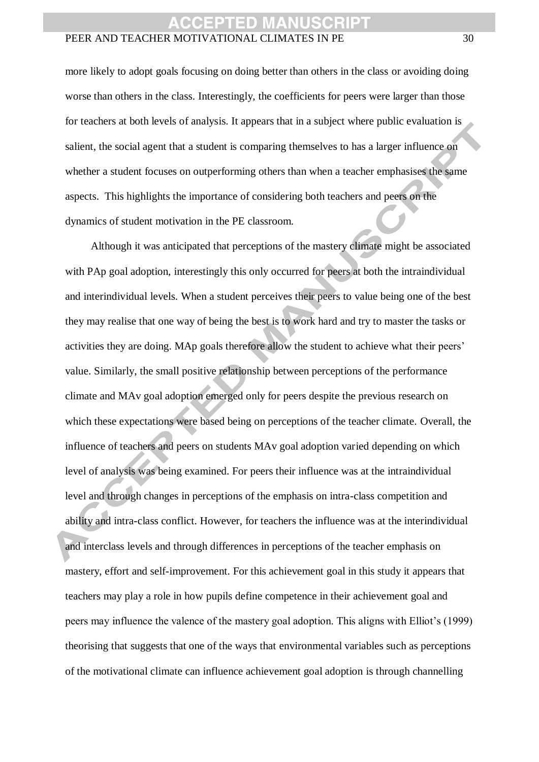more likely to adopt goals focusing on doing better than others in the class or avoiding doing worse than others in the class. Interestingly, the coefficients for peers were larger than those for teachers at both levels of analysis. It appears that in a subject where public evaluation is salient, the social agent that a student is comparing themselves to has a larger influence on whether a student focuses on outperforming others than when a teacher emphasises the same aspects. This highlights the importance of considering both teachers and peers on the dynamics of student motivation in the PE classroom.

Although it was anticipated that perceptions of the mastery climate might be associated with PAp goal adoption, interestingly this only occurred for peers at both the intraindividual and interindividual levels. When a student perceives their peers to value being one of the best they may realise that one way of being the best is to work hard and try to master the tasks or activities they are doing. MAp goals therefore allow the student to achieve what their peers' value. Similarly, the small positive relationship between perceptions of the performance climate and MAv goal adoption emerged only for peers despite the previous research on which these expectations were based being on perceptions of the teacher climate. Overall, the influence of teachers and peers on students MAv goal adoption varied depending on which level of analysis was being examined. For peers their influence was at the intraindividual level and through changes in perceptions of the emphasis on intra-class competition and ability and intra-class conflict. However, for teachers the influence was at the interindividual and interclass levels and through differences in perceptions of the teacher emphasis on mastery, effort and self-improvement. For this achievement goal in this study it appears that teachers may play a role in how pupils define competence in their achievement goal and peers may influence the valence of the mastery goal adoption. This aligns with Elliot's (1999) theorising that suggests that one of the ways that environmental variables such as perceptions of the motivational climate can influence achievement goal adoption is through channelling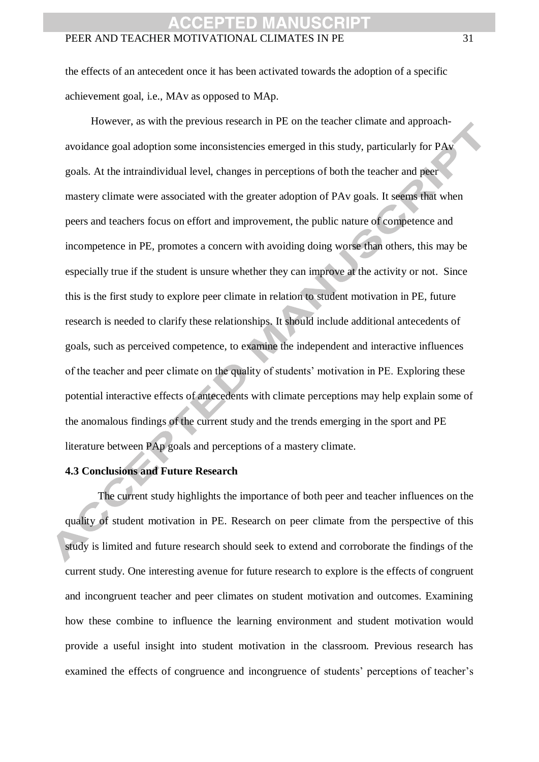the effects of an antecedent once it has been activated towards the adoption of a specific achievement goal, i.e., MAv as opposed to MAp.

However, as with the previous research in PE on the teacher climate and approachavoidance goal adoption some inconsistencies emerged in this study, particularly for PAv goals. At the intraindividual level, changes in perceptions of both the teacher and peer mastery climate were associated with the greater adoption of PAv goals. It seems that when peers and teachers focus on effort and improvement, the public nature of competence and incompetence in PE, promotes a concern with avoiding doing worse than others, this may be especially true if the student is unsure whether they can improve at the activity or not. Since this is the first study to explore peer climate in relation to student motivation in PE, future research is needed to clarify these relationships. It should include additional antecedents of goals, such as perceived competence, to examine the independent and interactive influences of the teacher and peer climate on the quality of students' motivation in PE. Exploring these potential interactive effects of antecedents with climate perceptions may help explain some of the anomalous findings of the current study and the trends emerging in the sport and PE literature between PAp goals and perceptions of a mastery climate.

### **4.3 Conclusions and Future Research**

The current study highlights the importance of both peer and teacher influences on the quality of student motivation in PE. Research on peer climate from the perspective of this study is limited and future research should seek to extend and corroborate the findings of the current study. One interesting avenue for future research to explore is the effects of congruent and incongruent teacher and peer climates on student motivation and outcomes. Examining how these combine to influence the learning environment and student motivation would provide a useful insight into student motivation in the classroom. Previous research has examined the effects of congruence and incongruence of students' perceptions of teacher's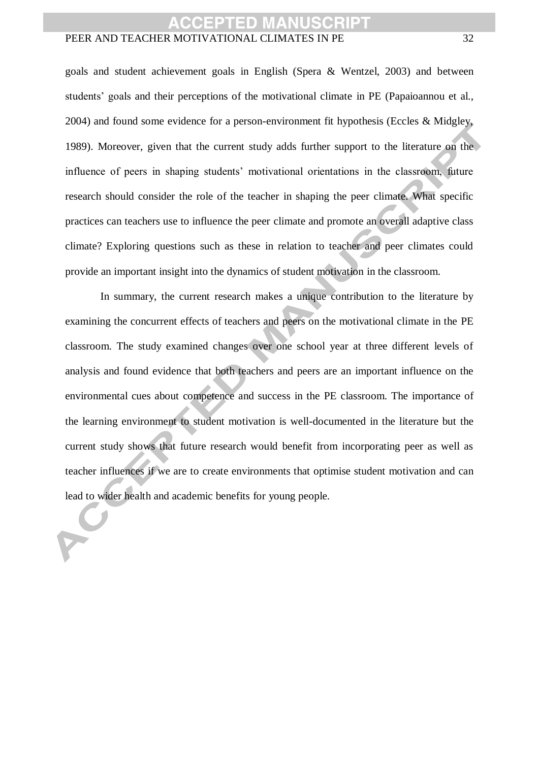goals and student achievement goals in English (Spera & Wentzel, 2003) and between students' goals and their perceptions of the motivational climate in PE (Papaioannou et al., 2004) and found some evidence for a person-environment fit hypothesis (Eccles & Midgley, 1989). Moreover, given that the current study adds further support to the literature on the influence of peers in shaping students' motivational orientations in the classroom, future research should consider the role of the teacher in shaping the peer climate. What specific practices can teachers use to influence the peer climate and promote an overall adaptive class climate? Exploring questions such as these in relation to teacher and peer climates could provide an important insight into the dynamics of student motivation in the classroom.

In summary, the current research makes a unique contribution to the literature by examining the concurrent effects of teachers and peers on the motivational climate in the PE classroom. The study examined changes over one school year at three different levels of analysis and found evidence that both teachers and peers are an important influence on the environmental cues about competence and success in the PE classroom. The importance of the learning environment to student motivation is well-documented in the literature but the current study shows that future research would benefit from incorporating peer as well as teacher influences if we are to create environments that optimise student motivation and can lead to wider health and academic benefits for young people.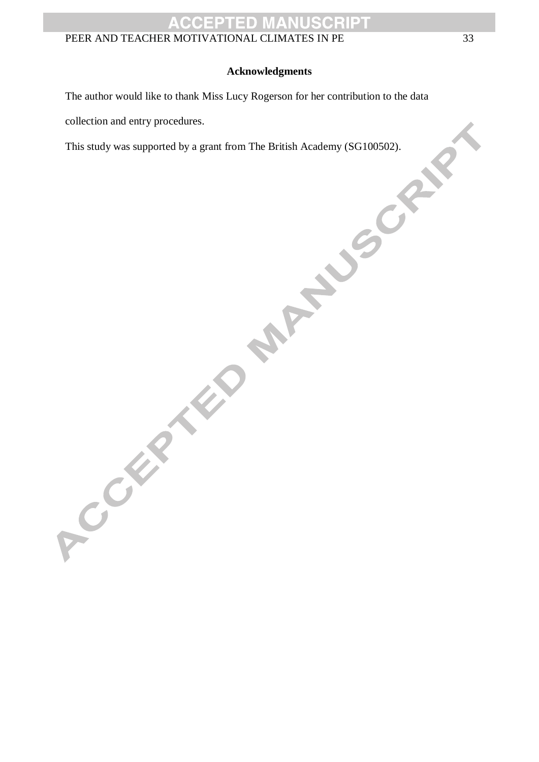#### **Acknowledgments**

The author would like to thank Miss Lucy Rogerson for her contribution to the data

collection and entry procedures.

This study was supported by a grant from The British Academy (SG100502).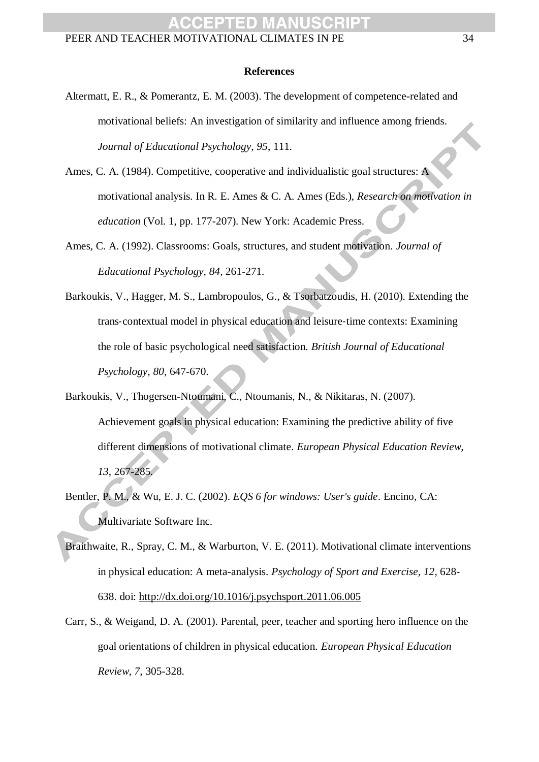#### **References**

- Altermatt, E. R., & Pomerantz, E. M. (2003). The development of competence-related and motivational beliefs: An investigation of similarity and influence among friends. *Journal of Educational Psychology, 95*, 111.
- Ames, C. A. (1984). Competitive, cooperative and individualistic goal structures: A motivational analysis. In R. E. Ames & C. A. Ames (Eds.), *Research on motivation in education* (Vol. 1, pp. 177-207). New York: Academic Press.
- Ames, C. A. (1992). Classrooms: Goals, structures, and student motivation. *Journal of Educational Psychology, 84*, 261-271.
- Barkoukis, V., Hagger, M. S., Lambropoulos, G., & Tsorbatzoudis, H. (2010). Extending the trans‐contextual model in physical education and leisure‐time contexts: Examining the role of basic psychological need satisfaction. *British Journal of Educational Psychology*, *80*, 647-670.
- Barkoukis, V., Thogersen-Ntoumani, C., Ntoumanis, N., & Nikitaras, N. (2007). Achievement goals in physical education: Examining the predictive ability of five different dimensions of motivational climate. *European Physical Education Review, 13*, 267-285.
- Bentler, P. M., & Wu, E. J. C. (2002). *EQS 6 for windows: User's guide*. Encino, CA: Multivariate Software Inc.
- Braithwaite, R., Spray, C. M., & Warburton, V. E. (2011). Motivational climate interventions in physical education: A meta-analysis. *Psychology of Sport and Exercise, 12*, 628- 638. doi:<http://dx.doi.org/10.1016/j.psychsport.2011.06.005>
- Carr, S., & Weigand, D. A. (2001). Parental, peer, teacher and sporting hero influence on the goal orientations of children in physical education. *European Physical Education Review, 7*, 305-328.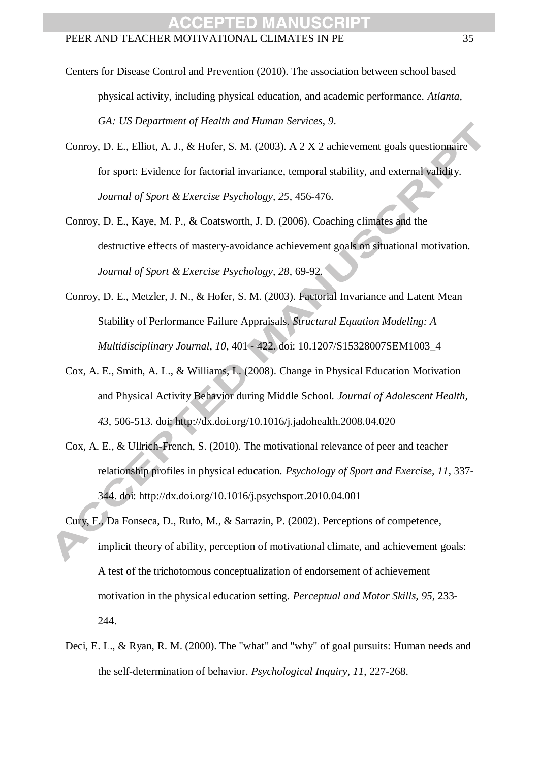- Centers for Disease Control and Prevention (2010). The association between school based physical activity, including physical education, and academic performance. *Atlanta, GA: US Department of Health and Human Services*, *9*.
- Conroy, D. E., Elliot, A. J., & Hofer, S. M. (2003). A 2 X 2 achievement goals questionnaire for sport: Evidence for factorial invariance, temporal stability, and external validity. *Journal of Sport & Exercise Psychology, 25*, 456-476.
- Conroy, D. E., Kaye, M. P., & Coatsworth, J. D. (2006). Coaching climates and the destructive effects of mastery-avoidance achievement goals on situational motivation. *Journal of Sport & Exercise Psychology, 28*, 69-92.
- Conroy, D. E., Metzler, J. N., & Hofer, S. M. (2003). Factorial Invariance and Latent Mean Stability of Performance Failure Appraisals. *Structural Equation Modeling: A Multidisciplinary Journal, 10*, 401 - 422. doi: 10.1207/S15328007SEM1003\_4
- Cox, A. E., Smith, A. L., & Williams, L. (2008). Change in Physical Education Motivation and Physical Activity Behavior during Middle School. *Journal of Adolescent Health, 43*, 506-513. doi:<http://dx.doi.org/10.1016/j.jadohealth.2008.04.020>
- Cox, A. E., & Ullrich-French, S. (2010). The motivational relevance of peer and teacher relationship profiles in physical education. *Psychology of Sport and Exercise, 11*, 337- 344. doi:<http://dx.doi.org/10.1016/j.psychsport.2010.04.001>
- Cury, F., Da Fonseca, D., Rufo, M., & Sarrazin, P. (2002). Perceptions of competence, implicit theory of ability, perception of motivational climate, and achievement goals: A test of the trichotomous conceptualization of endorsement of achievement motivation in the physical education setting. *Perceptual and Motor Skills, 95*, 233- 244.
- Deci, E. L., & Ryan, R. M. (2000). The "what" and "why" of goal pursuits: Human needs and the self-determination of behavior. *Psychological Inquiry, 11*, 227-268.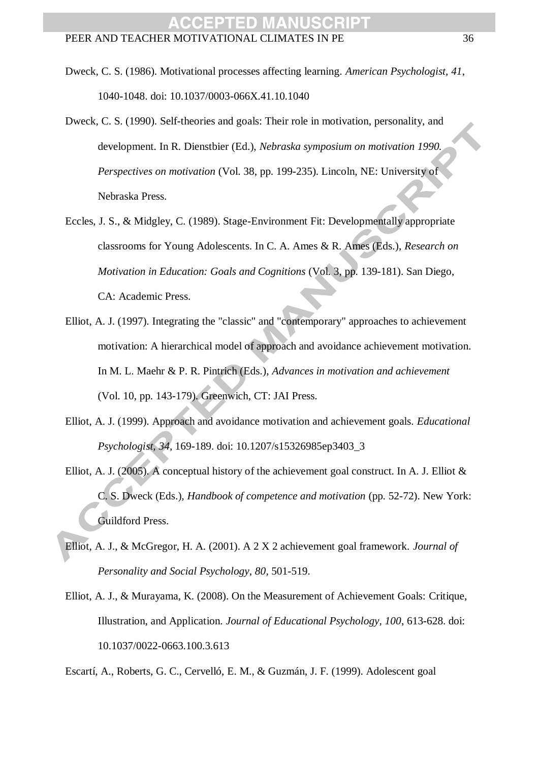- Dweck, C. S. (1986). Motivational processes affecting learning. *American Psychologist, 41*, 1040-1048. doi: 10.1037/0003-066X.41.10.1040
- Dweck, C. S. (1990). Self-theories and goals: Their role in motivation, personality, and development. In R. Dienstbier (Ed.), *Nebraska symposium on motivation 1990. Perspectives on motivation* (Vol. 38, pp. 199-235). Lincoln, NE: University of Nebraska Press.
- Eccles, J. S., & Midgley, C. (1989). Stage-Environment Fit: Developmentally appropriate classrooms for Young Adolescents. In C. A. Ames & R. Ames (Eds.), *Research on Motivation in Education: Goals and Cognitions* (Vol. 3, pp. 139-181). San Diego, CA: Academic Press.
- Elliot, A. J. (1997). Integrating the "classic" and "contemporary" approaches to achievement motivation: A hierarchical model of approach and avoidance achievement motivation. In M. L. Maehr & P. R. Pintrich (Eds.), *Advances in motivation and achievement* (Vol. 10, pp. 143-179). Greenwich, CT: JAI Press.
- Elliot, A. J. (1999). Approach and avoidance motivation and achievement goals. *Educational Psychologist, 34*, 169-189. doi: 10.1207/s15326985ep3403\_3
- Elliot, A. J. (2005). A conceptual history of the achievement goal construct. In A. J. Elliot & C. S. Dweck (Eds.), *Handbook of competence and motivation* (pp. 52-72). New York: Guildford Press.
- Elliot, A. J., & McGregor, H. A. (2001). A 2 X 2 achievement goal framework. *Journal of Personality and Social Psychology, 80*, 501-519.
- Elliot, A. J., & Murayama, K. (2008). On the Measurement of Achievement Goals: Critique, Illustration, and Application. *Journal of Educational Psychology, 100*, 613-628. doi: 10.1037/0022-0663.100.3.613

Escartí, A., Roberts, G. C., Cervelló, E. M., & Guzmán, J. F. (1999). Adolescent goal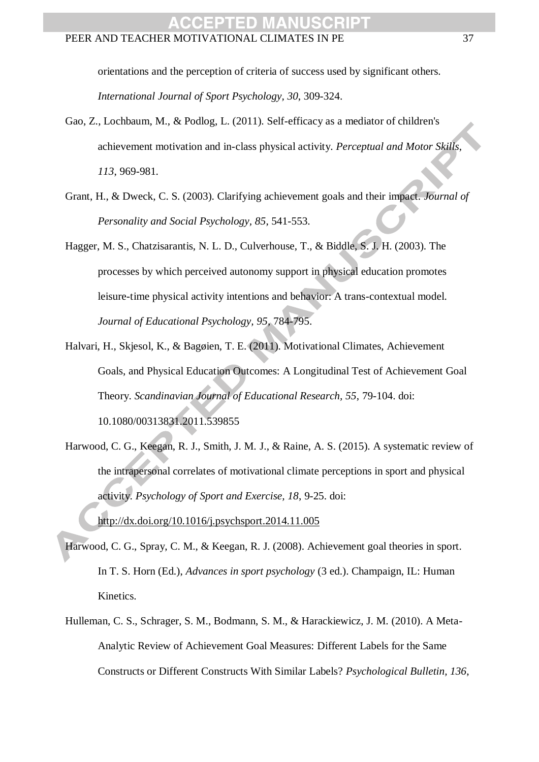orientations and the perception of criteria of success used by significant others. *International Journal of Sport Psychology, 30*, 309-324.

- Gao, Z., Lochbaum, M., & Podlog, L. (2011). Self-efficacy as a mediator of children's achievement motivation and in-class physical activity. *Perceptual and Motor Skills*, *113*, 969-981.
- Grant, H., & Dweck, C. S. (2003). Clarifying achievement goals and their impact. *Journal of Personality and Social Psychology, 85*, 541-553.
- Hagger, M. S., Chatzisarantis, N. L. D., Culverhouse, T., & Biddle, S. J. H. (2003). The processes by which perceived autonomy support in physical education promotes leisure-time physical activity intentions and behavior: A trans-contextual model. *Journal of Educational Psychology, 95*, 784-795.
- Halvari, H., Skjesol, K., & Bagøien, T. E. (2011). Motivational Climates, Achievement Goals, and Physical Education Outcomes: A Longitudinal Test of Achievement Goal Theory. *Scandinavian Journal of Educational Research, 55*, 79-104. doi: 10.1080/00313831.2011.539855
- Harwood, C. G., Keegan, R. J., Smith, J. M. J., & Raine, A. S. (2015). A systematic review of the intrapersonal correlates of motivational climate perceptions in sport and physical activity. *Psychology of Sport and Exercise, 18*, 9-25. doi: <http://dx.doi.org/10.1016/j.psychsport.2014.11.005>
- Harwood, C. G., Spray, C. M., & Keegan, R. J. (2008). Achievement goal theories in sport. In T. S. Horn (Ed.), *Advances in sport psychology* (3 ed.). Champaign, IL: Human Kinetics.
- Hulleman, C. S., Schrager, S. M., Bodmann, S. M., & Harackiewicz, J. M. (2010). A Meta-Analytic Review of Achievement Goal Measures: Different Labels for the Same Constructs or Different Constructs With Similar Labels? *Psychological Bulletin, 136*,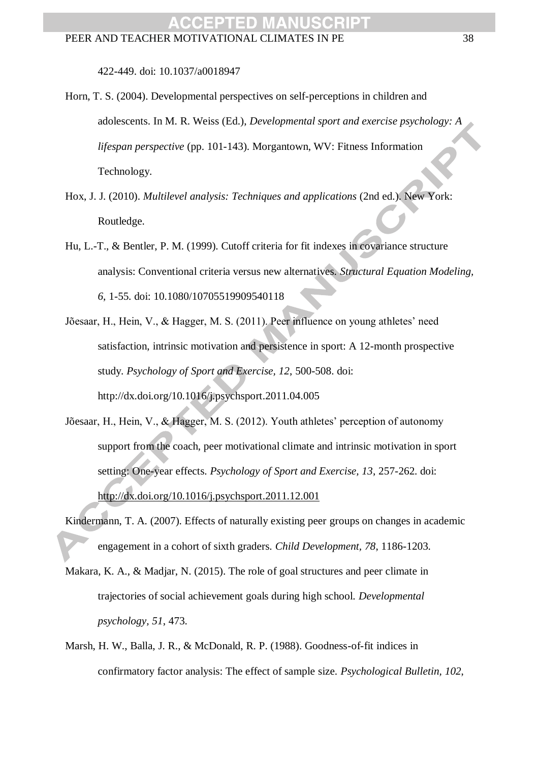422-449. doi: 10.1037/a0018947

- Horn, T. S. (2004). Developmental perspectives on self-perceptions in children and adolescents. In M. R. Weiss (Ed.), *Developmental sport and exercise psychology: A lifespan perspective* (pp. 101-143). Morgantown, WV: Fitness Information Technology.
- Hox, J. J. (2010). *Multilevel analysis: Techniques and applications* (2nd ed.). New York: Routledge.
- Hu, L.-T., & Bentler, P. M. (1999). Cutoff criteria for fit indexes in covariance structure analysis: Conventional criteria versus new alternatives. *Structural Equation Modeling, 6*, 1-55. doi: 10.1080/10705519909540118
- Jõesaar, H., Hein, V., & Hagger, M. S. (2011). Peer influence on young athletes' need satisfaction, intrinsic motivation and persistence in sport: A 12-month prospective study. *Psychology of Sport and Exercise, 12*, 500-508. doi: http://dx.doi.org/10.1016/j.psychsport.2011.04.005
- Jõesaar, H., Hein, V., & Hagger, M. S. (2012). Youth athletes' perception of autonomy support from the coach, peer motivational climate and intrinsic motivation in sport setting: One-year effects. *Psychology of Sport and Exercise, 13*, 257-262. doi: <http://dx.doi.org/10.1016/j.psychsport.2011.12.001>
- Kindermann, T. A. (2007). Effects of naturally existing peer groups on changes in academic engagement in a cohort of sixth graders. *Child Development, 78*, 1186-1203.
- Makara, K. A., & Madjar, N. (2015). The role of goal structures and peer climate in trajectories of social achievement goals during high school. *Developmental psychology, 51*, 473.
- Marsh, H. W., Balla, J. R., & McDonald, R. P. (1988). Goodness-of-fit indices in confirmatory factor analysis: The effect of sample size. *Psychological Bulletin, 102*,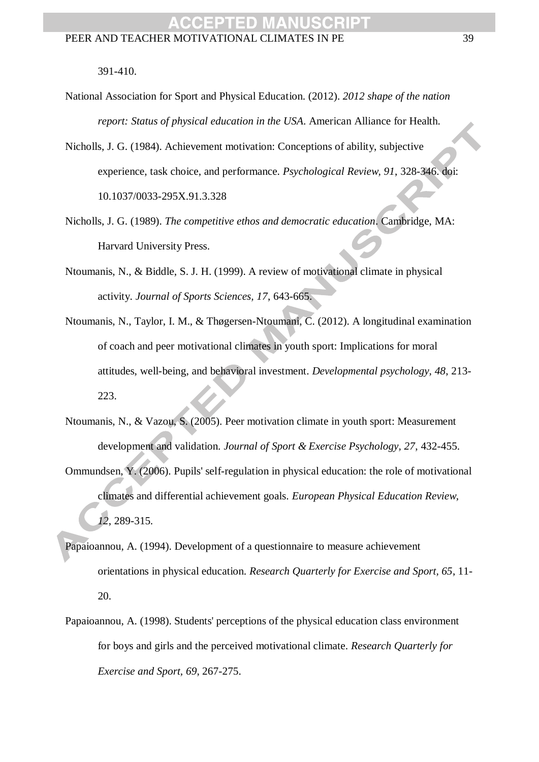391-410.

- National Association for Sport and Physical Education. (2012). *2012 shape of the nation report: Status of physical education in the USA*. American Alliance for Health.
- Nicholls, J. G. (1984). Achievement motivation: Conceptions of ability, subjective experience, task choice, and performance. *Psychological Review, 91*, 328-346. doi: 10.1037/0033-295X.91.3.328
- Nicholls, J. G. (1989). *The competitive ethos and democratic education*. Cambridge, MA: Harvard University Press.
- Ntoumanis, N., & Biddle, S. J. H. (1999). A review of motivational climate in physical activity. *Journal of Sports Sciences, 17*, 643-665.
- Ntoumanis, N., Taylor, I. M., & Thøgersen-Ntoumani, C. (2012). A longitudinal examination of coach and peer motivational climates in youth sport: Implications for moral attitudes, well-being, and behavioral investment. *Developmental psychology, 48*, 213- 223.
- Ntoumanis, N., & Vazou, S. (2005). Peer motivation climate in youth sport: Measurement development and validation. *Journal of Sport & Exercise Psychology, 27*, 432-455.
- Ommundsen, Y. (2006). Pupils' self-regulation in physical education: the role of motivational climates and differential achievement goals. *European Physical Education Review, 12*, 289-315.
- Papaioannou, A. (1994). Development of a questionnaire to measure achievement orientations in physical education. *Research Quarterly for Exercise and Sport, 65*, 11- 20.
- Papaioannou, A. (1998). Students' perceptions of the physical education class environment for boys and girls and the perceived motivational climate. *Research Quarterly for Exercise and Sport, 69*, 267-275.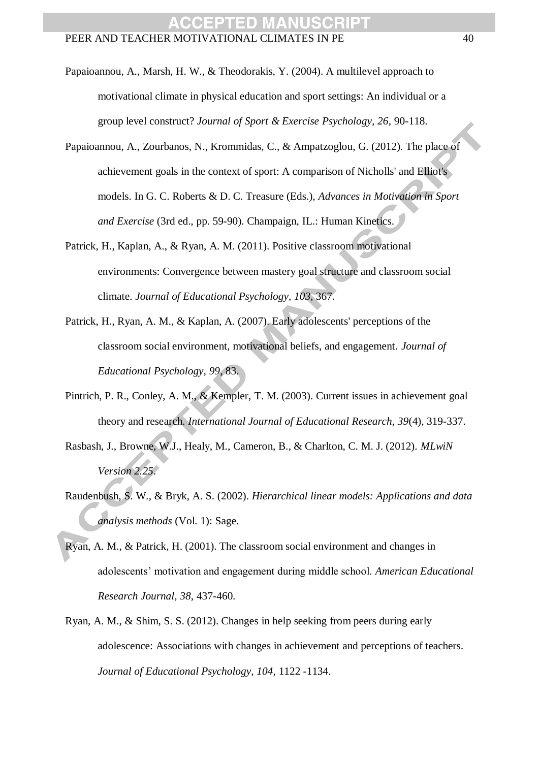- Papaioannou, A., Marsh, H. W., & Theodorakis, Y. (2004). A multilevel approach to motivational climate in physical education and sport settings: An individual or a group level construct? *Journal of Sport & Exercise Psychology, 26*, 90-118.
- Papaioannou, A., Zourbanos, N., Krommidas, C., & Ampatzoglou, G. (2012). The place of achievement goals in the context of sport: A comparison of Nicholls' and Elliot's models. In G. C. Roberts & D. C. Treasure (Eds.), *Advances in Motivation in Sport and Exercise* (3rd ed., pp. 59-90). Champaign, IL.: Human Kinetics.
- Patrick, H., Kaplan, A., & Ryan, A. M. (2011). Positive classroom motivational environments: Convergence between mastery goal structure and classroom social climate. *Journal of Educational Psychology, 103*, 367.
- Patrick, H., Ryan, A. M., & Kaplan, A. (2007). Early adolescents' perceptions of the classroom social environment, motivational beliefs, and engagement. *Journal of Educational Psychology, 99*, 83.
- Pintrich, P. R., Conley, A. M., & Kempler, T. M. (2003). Current issues in achievement goal theory and research. *International Journal of Educational Research, 39*(4), 319-337.
- Rasbash, J., Browne, W.J., Healy, M., Cameron, B., & Charlton, C. M. J. (2012). *MLwiN Version 2.25*.
- Raudenbush, S. W., & Bryk, A. S. (2002). *Hierarchical linear models: Applications and data analysis methods* (Vol. 1): Sage.
- Ryan, A. M., & Patrick, H. (2001). The classroom social environment and changes in adolescents' motivation and engagement during middle school. *American Educational Research Journal, 38*, 437-460.
- Ryan, A. M., & Shim, S. S. (2012). Changes in help seeking from peers during early adolescence: Associations with changes in achievement and perceptions of teachers. *Journal of Educational Psychology, 104*, 1122 -1134.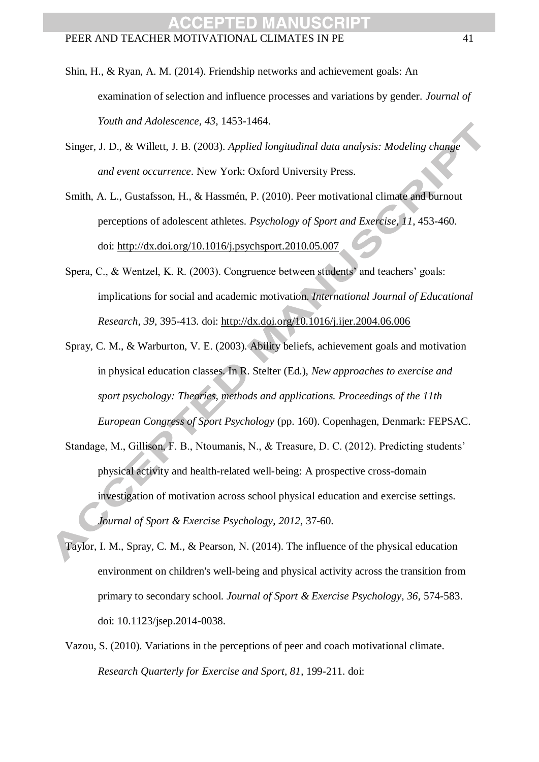- Shin, H., & Ryan, A. M. (2014). Friendship networks and achievement goals: An examination of selection and influence processes and variations by gender. *Journal of Youth and Adolescence, 43*, 1453-1464.
- Singer, J. D., & Willett, J. B. (2003). *Applied longitudinal data analysis: Modeling change and event occurrence*. New York: Oxford University Press.
- Smith, A. L., Gustafsson, H., & Hassmén, P. (2010). Peer motivational climate and burnout perceptions of adolescent athletes. *Psychology of Sport and Exercise, 11*, 453-460. doi:<http://dx.doi.org/10.1016/j.psychsport.2010.05.007>
- Spera, C., & Wentzel, K. R. (2003). Congruence between students' and teachers' goals: implications for social and academic motivation. *International Journal of Educational Research, 39*, 395-413. doi:<http://dx.doi.org/10.1016/j.ijer.2004.06.006>
- Spray, C. M., & Warburton, V. E. (2003). Ability beliefs, achievement goals and motivation in physical education classes. In R. Stelter (Ed.), *New approaches to exercise and sport psychology: Theories, methods and applications. Proceedings of the 11th European Congress of Sport Psychology* (pp. 160). Copenhagen, Denmark: FEPSAC.
- Standage, M., Gillison, F. B., Ntoumanis, N., & Treasure, D. C. (2012). Predicting students' physical activity and health-related well-being: A prospective cross-domain investigation of motivation across school physical education and exercise settings. *Journal of Sport & Exercise Psychology*, *2012*, 37-60.
- Taylor, I. M., Spray, C. M., & Pearson, N. (2014). The influence of the physical education environment on children's well-being and physical activity across the transition from primary to secondary school. *Journal of Sport & Exercise Psychology, 36*, 574-583. doi: 10.1123/jsep.2014-0038.
- Vazou, S. (2010). Variations in the perceptions of peer and coach motivational climate. *Research Quarterly for Exercise and Sport, 81*, 199-211. doi: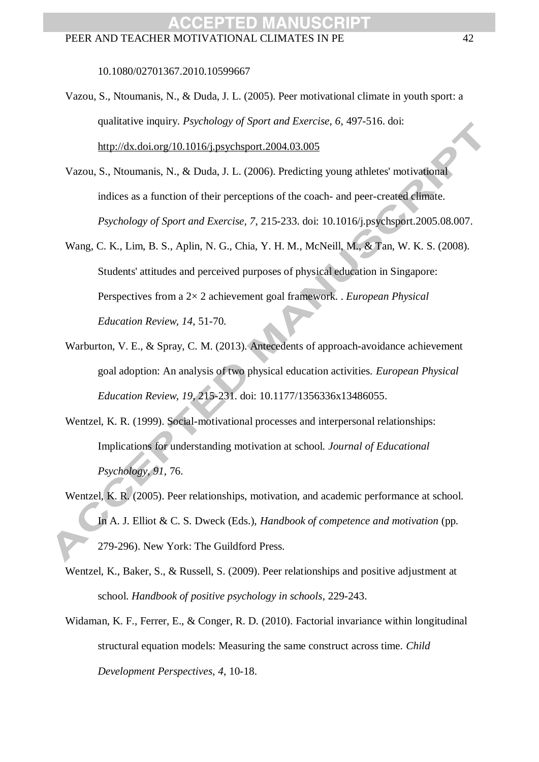10.1080/02701367.2010.10599667

- Vazou, S., Ntoumanis, N., & Duda, J. L. (2005). Peer motivational climate in youth sport: a qualitative inquiry. *Psychology of Sport and Exercise, 6*, 497-516. doi: <http://dx.doi.org/10.1016/j.psychsport.2004.03.005>
- Vazou, S., Ntoumanis, N., & Duda, J. L. (2006). Predicting young athletes' motivational indices as a function of their perceptions of the coach- and peer-created climate. *Psychology of Sport and Exercise, 7*, 215-233. doi: 10.1016/j.psychsport.2005.08.007.
- Wang, C. K., Lim, B. S., Aplin, N. G., Chia, Y. H. M., McNeill, M., & Tan, W. K. S. (2008). Students' attitudes and perceived purposes of physical education in Singapore: Perspectives from a 2× 2 achievement goal framework. . *European Physical Education Review, 14*, 51-70.
- Warburton, V. E., & Spray, C. M. (2013). Antecedents of approach-avoidance achievement goal adoption: An analysis of two physical education activities. *European Physical Education Review, 19*, 215-231. doi: 10.1177/1356336x13486055.
- Wentzel, K. R. (1999). Social-motivational processes and interpersonal relationships: Implications for understanding motivation at school. *Journal of Educational Psychology, 91*, 76.
- Wentzel, K. R. (2005). Peer relationships, motivation, and academic performance at school. In A. J. Elliot & C. S. Dweck (Eds.), *Handbook of competence and motivation* (pp. 279-296). New York: The Guildford Press.
- Wentzel, K., Baker, S., & Russell, S. (2009). Peer relationships and positive adjustment at school. *Handbook of positive psychology in schools*, 229-243.
- Widaman, K. F., Ferrer, E., & Conger, R. D. (2010). Factorial invariance within longitudinal structural equation models: Measuring the same construct across time. *Child Development Perspectives, 4*, 10-18.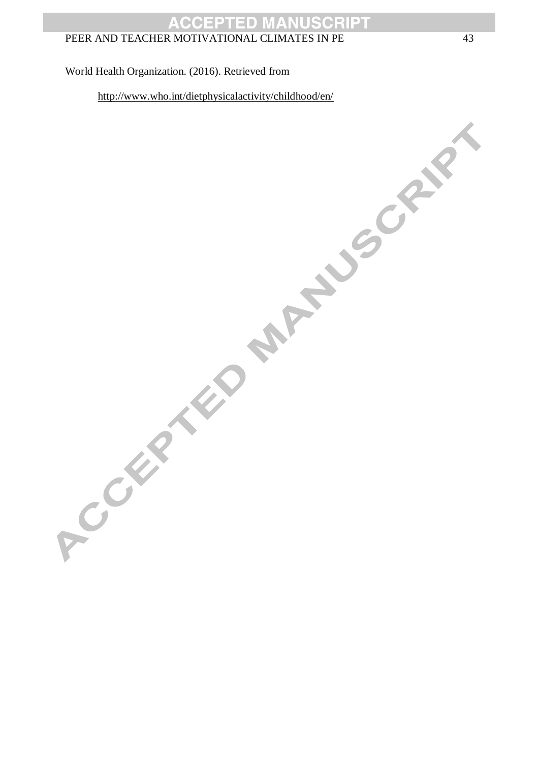#### World Health Organization. (2016). Retrieved from

<http://www.who.int/dietphysicalactivity/childhood/en/><br>Control of the party of Childhood (en/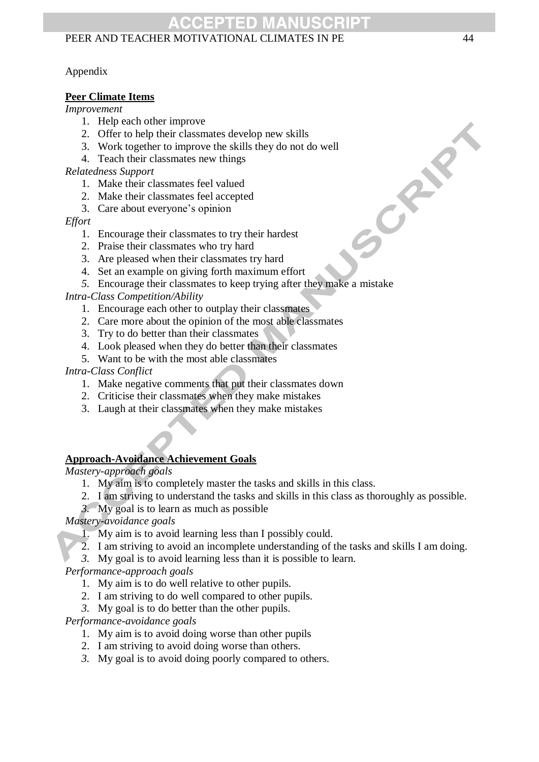### Appendix

### **Peer Climate Items**

#### *Improvement*

- 1. Help each other improve
- 2. Offer to help their classmates develop new skills
- 3. Work together to improve the skills they do not do well
- 4. Teach their classmates new things

#### *Relatedness Support*

- 1. Make their classmates feel valued
- 2. Make their classmates feel accepted
- 3. Care about everyone's opinion

#### *Effort*

- 1. Encourage their classmates to try their hardest
- 2. Praise their classmates who try hard
- 3. Are pleased when their classmates try hard
- 4. Set an example on giving forth maximum effort
- *5.* Encourage their classmates to keep trying after they make a mistake

### *Intra-Class Competition/Ability*

- 1. Encourage each other to outplay their classmates
- 2. Care more about the opinion of the most able classmates
- 3. Try to do better than their classmates
- 4. Look pleased when they do better than their classmates
- 5. Want to be with the most able classmates

#### *Intra-Class Conflict*

- 1. Make negative comments that put their classmates down
- 2. Criticise their classmates when they make mistakes
- 3. Laugh at their classmates when they make mistakes

### **Approach-Avoidance Achievement Goals**

*Mastery-approach goals*

- 1. My aim is to completely master the tasks and skills in this class.
- 2. I am striving to understand the tasks and skills in this class as thoroughly as possible.
- *3.* My goal is to learn as much as possible

### *Mastery-avoidance goals*

- 1. My aim is to avoid learning less than I possibly could.
- 2. I am striving to avoid an incomplete understanding of the tasks and skills I am doing.
- *3.* My goal is to avoid learning less than it is possible to learn.

*Performance-approach goals*

- 1. My aim is to do well relative to other pupils.
- 2. I am striving to do well compared to other pupils.
- *3.* My goal is to do better than the other pupils.

*Performance-avoidance goals*

- 1. My aim is to avoid doing worse than other pupils
- 2. I am striving to avoid doing worse than others.
- *3.* My goal is to avoid doing poorly compared to others*.*

CRAN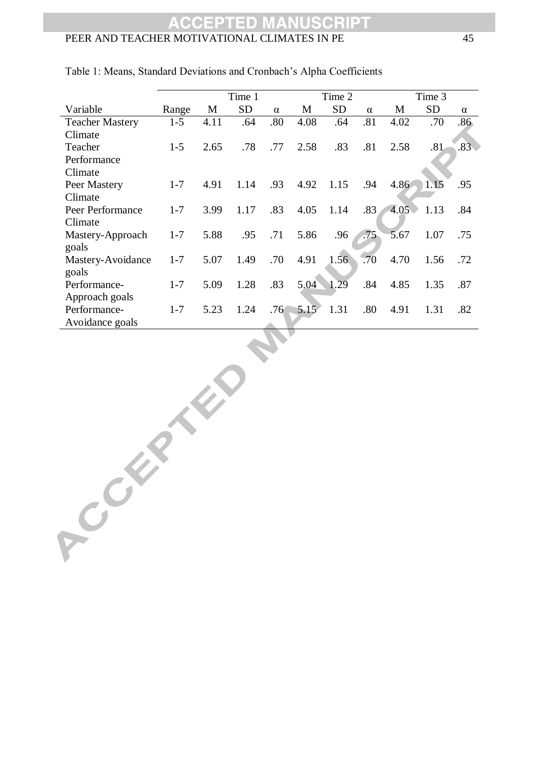|                        | Time 1  |      |           |          |      | Time 2    |          | Time 3 |                |          |  |
|------------------------|---------|------|-----------|----------|------|-----------|----------|--------|----------------|----------|--|
| Variable               | Range   | M    | <b>SD</b> | $\alpha$ | M    | <b>SD</b> | $\alpha$ | M      | <b>SD</b>      | $\alpha$ |  |
| <b>Teacher Mastery</b> | $1 - 5$ | 4.11 | .64       | .80      | 4.08 | .64       | .81      | 4.02   | .70            | .86      |  |
| Climate                |         |      |           |          |      |           |          |        |                |          |  |
| Teacher                | $1 - 5$ | 2.65 | .78       | .77      | 2.58 | .83       | .81      | 2.58   | .81            | .83      |  |
| Performance            |         |      |           |          |      |           |          |        |                |          |  |
| Climate                |         |      |           |          |      |           |          |        |                |          |  |
| Peer Mastery           | $1 - 7$ | 4.91 | 1.14      | .93      | 4.92 | 1.15      | .94      | 4.86   | $\bigcup$ 1.15 | .95      |  |
| Climate                |         |      |           |          |      |           |          |        |                |          |  |
| Peer Performance       | $1 - 7$ | 3.99 | 1.17      | .83      | 4.05 | 1.14      | .83      | 4.05   | 1.13           | .84      |  |
| Climate                |         |      |           |          |      |           |          |        |                |          |  |
| Mastery-Approach       | $1 - 7$ | 5.88 | .95       | .71      | 5.86 | .96       | .75      | 5.67   | 1.07           | .75      |  |
| goals                  |         |      |           |          |      |           |          |        |                |          |  |
| Mastery-Avoidance      | $1 - 7$ | 5.07 | 1.49      | .70      | 4.91 | 1.56      | .70      | 4.70   | 1.56           | .72      |  |
| goals                  |         |      |           |          |      |           |          |        |                |          |  |
| Performance-           | $1 - 7$ | 5.09 | 1.28      | .83      | 5.04 | 1.29      | .84      | 4.85   | 1.35           | .87      |  |
| Approach goals         |         |      |           |          |      |           |          |        |                |          |  |
| Performance-           | $1 - 7$ | 5.23 | 1.24      | .76      | 5.15 | 1.31      | .80      | 4.91   | 1.31           | .82      |  |
| Avoidance goals        |         |      |           |          |      |           |          |        |                |          |  |

Table 1: Means, Standard Deviations and Cronbach's Alpha Coefficients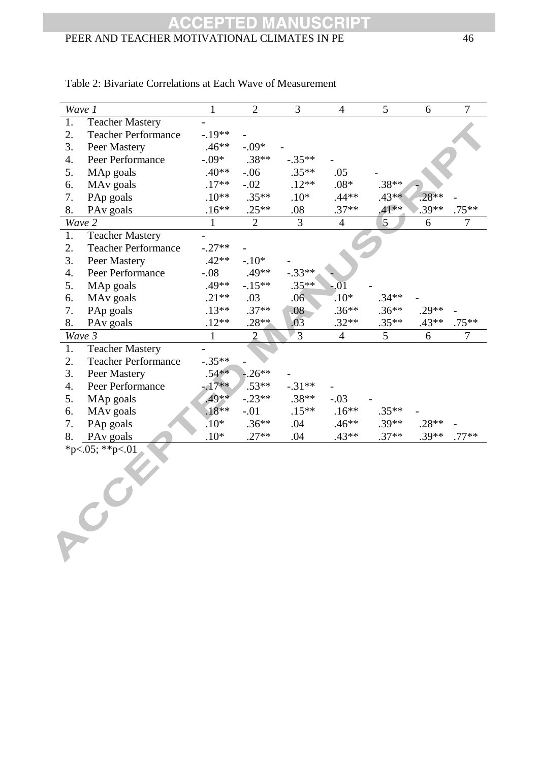#### **CRIPT CCEPT** 5 D PEER AND TEACHER MOTIVATIONAL CLIMATES IN PE 46

|    | Wave 1                     | $\mathbf{1}$ | $\overline{2}$ | $\overline{3}$ | $\overline{4}$ | 5       | 6       | $\overline{7}$ |
|----|----------------------------|--------------|----------------|----------------|----------------|---------|---------|----------------|
| 1. | <b>Teacher Mastery</b>     |              |                |                |                |         |         |                |
| 2. | <b>Teacher Performance</b> | $-.19**$     |                |                |                |         |         |                |
| 3. | Peer Mastery               | $.46**$      | $-.09*$        |                |                |         |         |                |
| 4. | Peer Performance           | $-.09*$      | $.38**$        | $-.35**$       |                |         |         |                |
| 5. | MAp goals                  | $.40**$      | $-.06$         | $.35**$        | .05            |         |         |                |
| 6. | MA <sub>v</sub> goals      | $.17**$      | $-.02$         | $.12**$        | $.08*$         | $.38**$ |         |                |
| 7. | PAp goals                  | $.10**$      | $.35**$        | $.10*$         | $.44**$        | $.43**$ | $.28**$ |                |
| 8. | PA <sub>v</sub> goals      | $.16**$      | $.25**$        | $.08\,$        | $.37**$        | $.41**$ | $.39**$ | $.75**$        |
|    | Wave 2                     | $\mathbf{1}$ | $\overline{2}$ | 3              | $\overline{4}$ | 5       | 6       | 7              |
| 1. | <b>Teacher Mastery</b>     |              |                |                |                |         |         |                |
| 2. | <b>Teacher Performance</b> | $-.27**$     |                |                |                |         |         |                |
| 3. | Peer Mastery               | $.42**$      | $-.10*$        |                |                |         |         |                |
| 4. | Peer Performance           | $-.08$       | .49**          | $-.33**$       |                |         |         |                |
| 5. | MAp goals                  | .49**        | $-.15**$       | $.35**$        | $-.01$         |         |         |                |
| 6. | MA <sub>v</sub> goals      | $.21**$      | .03            | .06            | $.10*$         | $.34**$ |         |                |
| 7. | PAp goals                  | $.13**$      | $.37**$        | .08            | $.36**$        | $.36**$ | $.29**$ |                |
| 8. | PA <sub>v</sub> goals      | $.12**$      | $.28**$        | .03            | $.32**$        | $.35**$ | $.43**$ | $.75***$       |
|    | Wave 3                     | $\mathbf{1}$ | $\overline{2}$ | $\overline{3}$ | $\overline{4}$ | 5       | 6       | $\overline{7}$ |
|    |                            |              |                |                |                |         |         |                |
| 1. | <b>Teacher Mastery</b>     |              |                |                |                |         |         |                |
| 2. | <b>Teacher Performance</b> | $-.35**$     |                |                |                |         |         |                |
| 3. | Peer Mastery               | $.54**$      | $-0.26**$      |                |                |         |         |                |
| 4. | Peer Performance           | $-17**$      | $.53**$        | $-.31**$       |                |         |         |                |
| 5. | MAp goals                  | $.49**$      | $-.23**$       | $.38**$        | $-.03$         |         |         |                |
| 6. | MA <sub>v</sub> goals      | $.18**$      | $-.01$         | $.15**$        | $.16**$        | $.35**$ |         |                |
| 7. | PAp goals                  | $.10*$       | $.36**$        | .04            | $.46**$        | $.39**$ | $.28**$ |                |
| 8. | PA <sub>v</sub> goals      | $.10*$       | $.27**$        | .04            | $.43**$        | $.37**$ | $.39**$ | $.77**$        |
|    | *p<.05; **p<.01            |              |                |                |                |         |         |                |
|    |                            |              |                |                |                |         |         |                |
|    |                            |              |                |                |                |         |         |                |
|    |                            |              |                |                |                |         |         |                |
|    |                            |              |                |                |                |         |         |                |
|    |                            |              |                |                |                |         |         |                |
|    |                            |              |                |                |                |         |         |                |
|    |                            |              |                |                |                |         |         |                |

### Table 2: Bivariate Correlations at Each Wave of Measurement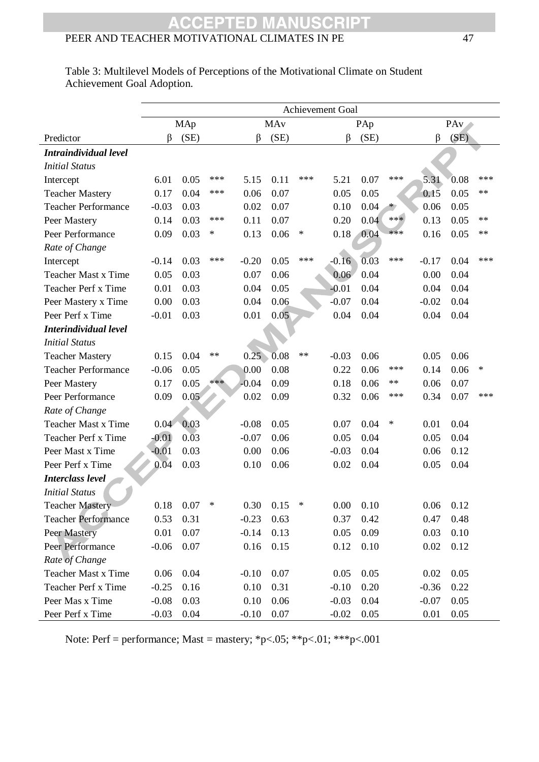#### **CRIPT CCEPTED** PEER AND TEACHER MOTIVATIONAL CLIMATES IN PE 47

|                            | <b>Achievement Goal</b> |                   |      |         |      |        |         |      |         |         |      |        |  |
|----------------------------|-------------------------|-------------------|------|---------|------|--------|---------|------|---------|---------|------|--------|--|
|                            |                         | MAp               |      | MAy     |      |        | PAp     |      |         |         | PAv  |        |  |
| Predictor                  | β                       | (SE)              |      | β       | (SE) |        | β       | (SE) |         | β       | (SE) |        |  |
| Intraindividual level      |                         |                   |      |         |      |        |         |      |         |         |      |        |  |
| <b>Initial Status</b>      |                         |                   |      |         |      |        |         |      |         |         |      |        |  |
| Intercept                  | 6.01                    | 0.05              | ***  | 5.15    | 0.11 | ***    | 5.21    | 0.07 | ***     | 5.31    | 0.08 | ***    |  |
| <b>Teacher Mastery</b>     | 0.17                    | 0.04              | ***  | 0.06    | 0.07 |        | 0.05    | 0.05 |         | 0.15    | 0.05 | **     |  |
| <b>Teacher Performance</b> | $-0.03$                 | 0.03              |      | 0.02    | 0.07 |        | 0.10    | 0.04 | $\star$ | 0.06    | 0.05 |        |  |
| Peer Mastery               | 0.14                    | 0.03              | ***  | 0.11    | 0.07 |        | 0.20    | 0.04 | $***$   | 0.13    | 0.05 | **     |  |
| Peer Performance           | 0.09                    | 0.03              | ∗    | 0.13    | 0.06 | $\ast$ | 0.18    | 0.04 | ***     | 0.16    | 0.05 | $**$   |  |
| Rate of Change             |                         |                   |      |         |      |        |         |      |         |         |      |        |  |
| Intercept                  | $-0.14$                 | 0.03              | ***  | $-0.20$ | 0.05 | $***$  | $-0.16$ | 0.03 | ***     | $-0.17$ | 0.04 | ***    |  |
| <b>Teacher Mast x Time</b> | 0.05                    | 0.03              |      | 0.07    | 0.06 |        | 0.06    | 0.04 |         | 0.00    | 0.04 |        |  |
| Teacher Perf x Time        | 0.01                    | 0.03              |      | 0.04    | 0.05 |        | $-0.01$ | 0.04 |         | 0.04    | 0.04 |        |  |
| Peer Mastery x Time        | 0.00                    | 0.03              |      | 0.04    | 0.06 |        | $-0.07$ | 0.04 |         | $-0.02$ | 0.04 |        |  |
| Peer Perf x Time           | $-0.01$                 | 0.03              |      | 0.01    | 0.05 |        | 0.04    | 0.04 |         | 0.04    | 0.04 |        |  |
| Interindividual level      |                         |                   |      |         |      |        |         |      |         |         |      |        |  |
| <b>Initial Status</b>      |                         |                   |      |         |      |        |         |      |         |         |      |        |  |
| <b>Teacher Mastery</b>     | 0.15                    | 0.04              | $**$ | 0.25    | 0.08 | $***$  | $-0.03$ | 0.06 |         | 0.05    | 0.06 |        |  |
| <b>Teacher Performance</b> | $-0.06$                 | 0.05              |      | 0.00    | 0.08 |        | 0.22    | 0.06 | ***     | 0.14    | 0.06 | $\ast$ |  |
| Peer Mastery               | 0.17                    | 0.05              | ***  | $-0.04$ | 0.09 |        | 0.18    | 0.06 | $**$    | 0.06    | 0.07 |        |  |
| Peer Performance           | 0.09                    | 0.05              |      | 0.02    | 0.09 |        | 0.32    | 0.06 | ***     | 0.34    | 0.07 | ***    |  |
| Rate of Change             |                         |                   |      |         |      |        |         |      |         |         |      |        |  |
| <b>Teacher Mast x Time</b> | 0.04                    | 0.03              |      | $-0.08$ | 0.05 |        | 0.07    | 0.04 | ∗       | 0.01    | 0.04 |        |  |
| Teacher Perf x Time        | $-0.01$                 | $0.\overline{0}3$ |      | $-0.07$ | 0.06 |        | 0.05    | 0.04 |         | 0.05    | 0.04 |        |  |
| Peer Mast x Time           | $-0.01$                 | 0.03              |      | 0.00    | 0.06 |        | $-0.03$ | 0.04 |         | 0.06    | 0.12 |        |  |
| Peer Perf x Time           | 0.04                    | 0.03              |      | 0.10    | 0.06 |        | 0.02    | 0.04 |         | 0.05    | 0.04 |        |  |
| <b>Interclass level</b>    |                         |                   |      |         |      |        |         |      |         |         |      |        |  |
| <b>Initial Status</b>      |                         |                   |      |         |      |        |         |      |         |         |      |        |  |
| Teacher Mastery            | 0.18                    | 0.07              |      | 0.30    | 0.15 |        | 0.00    | 0.10 |         | 0.06    | 0.12 |        |  |
| <b>Teacher Performance</b> | 0.53                    | 0.31              |      | $-0.23$ | 0.63 |        | 0.37    | 0.42 |         | 0.47    | 0.48 |        |  |
| Peer Mastery               | 0.01                    | 0.07              |      | $-0.14$ | 0.13 |        | 0.05    | 0.09 |         | 0.03    | 0.10 |        |  |
| Peer Performance           | $-0.06$                 | 0.07              |      | 0.16    | 0.15 |        | 0.12    | 0.10 |         | 0.02    | 0.12 |        |  |
| Rate of Change             |                         |                   |      |         |      |        |         |      |         |         |      |        |  |
| <b>Teacher Mast x Time</b> | 0.06                    | 0.04              |      | $-0.10$ | 0.07 |        | 0.05    | 0.05 |         | 0.02    | 0.05 |        |  |
| Teacher Perf x Time        | $-0.25$                 | 0.16              |      | 0.10    | 0.31 |        | $-0.10$ | 0.20 |         | $-0.36$ | 0.22 |        |  |
| Peer Mas x Time            | $-0.08$                 | 0.03              |      | 0.10    | 0.06 |        | $-0.03$ | 0.04 |         | $-0.07$ | 0.05 |        |  |
| Peer Perf x Time           | $-0.03$                 | 0.04              |      | $-0.10$ | 0.07 |        | $-0.02$ | 0.05 |         | 0.01    | 0.05 |        |  |

Table 3: Multilevel Models of Perceptions of the Motivational Climate on Student Achievement Goal Adoption.

Note: Perf = performance; Mast = mastery; \*p<.05; \*\*p<.01; \*\*\*p<.001